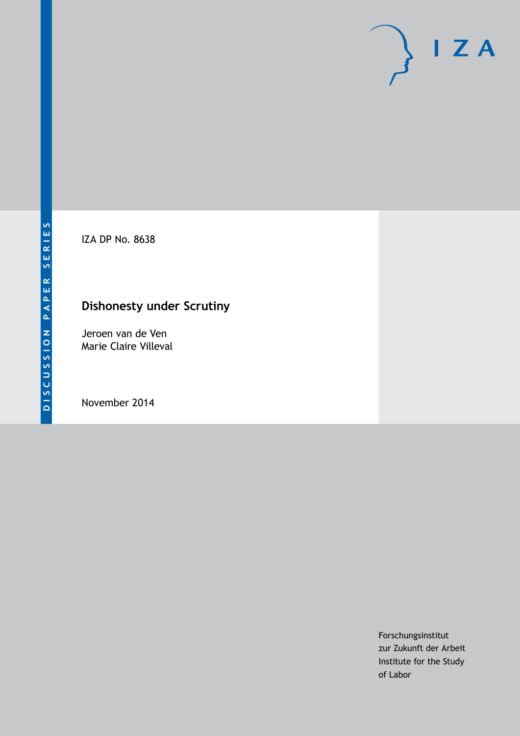IZA DP No. 8638

## **Dishonesty under Scrutiny**

Jeroen van de Ven Marie Claire Villeval

November 2014

Forschungsinstitut zur Zukunft der Arbeit Institute for the Study of Labor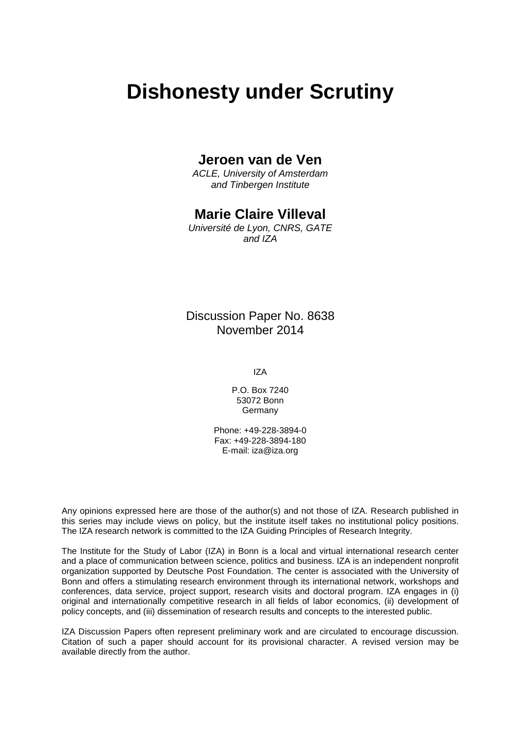# **Dishonesty under Scrutiny**

## **Jeroen van de Ven**

*ACLE, University of Amsterdam and Tinbergen Institute*

## **Marie Claire Villeval**

*Université de Lyon, CNRS, GATE and IZA*

## Discussion Paper No. 8638 November 2014

IZA

P.O. Box 7240 53072 Bonn **Germany** 

Phone: +49-228-3894-0 Fax: +49-228-3894-180 E-mail: [iza@iza.org](mailto:iza@iza.org)

Any opinions expressed here are those of the author(s) and not those of IZA. Research published in this series may include views on policy, but the institute itself takes no institutional policy positions. The IZA research network is committed to the IZA Guiding Principles of Research Integrity.

The Institute for the Study of Labor (IZA) in Bonn is a local and virtual international research center and a place of communication between science, politics and business. IZA is an independent nonprofit organization supported by Deutsche Post Foundation. The center is associated with the University of Bonn and offers a stimulating research environment through its international network, workshops and conferences, data service, project support, research visits and doctoral program. IZA engages in (i) original and internationally competitive research in all fields of labor economics, (ii) development of policy concepts, and (iii) dissemination of research results and concepts to the interested public.

<span id="page-1-0"></span>IZA Discussion Papers often represent preliminary work and are circulated to encourage discussion. Citation of such a paper should account for its provisional character. A revised version may be available directly from the author.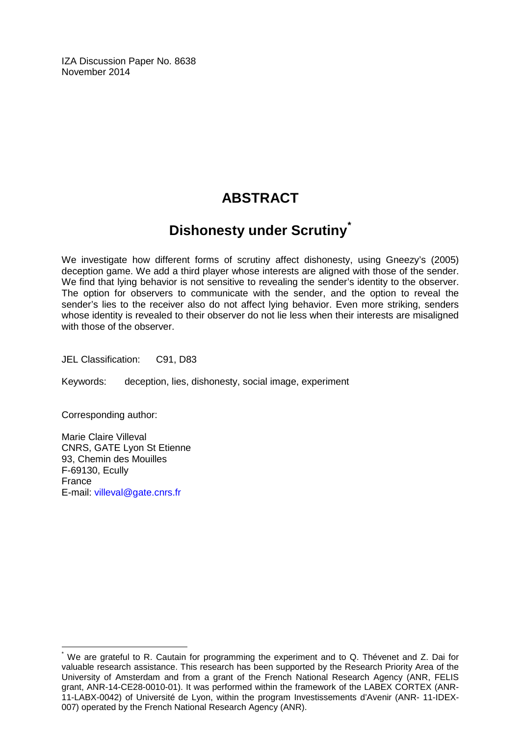IZA Discussion Paper No. 8638 November 2014

## **ABSTRACT**

## **Dishonesty under Scrutiny[\\*](#page-1-0)**

We investigate how different forms of scrutiny affect dishonesty, using Gneezy's (2005) deception game. We add a third player whose interests are aligned with those of the sender. We find that lying behavior is not sensitive to revealing the sender's identity to the observer. The option for observers to communicate with the sender, and the option to reveal the sender's lies to the receiver also do not affect lying behavior. Even more striking, senders whose identity is revealed to their observer do not lie less when their interests are misaligned with those of the observer.

JEL Classification: C91, D83

Keywords: deception, lies, dishonesty, social image, experiment

Corresponding author:

Marie Claire Villeval CNRS, GATE Lyon St Etienne 93, Chemin des Mouilles F-69130, Ecully France E-mail: [villeval@gate.cnrs.fr](mailto:villeval@gate.cnrs.fr)

We are grateful to R. Cautain for programming the experiment and to Q. Thévenet and Z. Dai for valuable research assistance. This research has been supported by the Research Priority Area of the University of Amsterdam and from a grant of the French National Research Agency (ANR, FELIS grant, ANR-14-CE28-0010-01). It was performed within the framework of the LABEX CORTEX (ANR-11-LABX-0042) of Université de Lyon, within the program Investissements d'Avenir (ANR- 11-IDEX-007) operated by the French National Research Agency (ANR).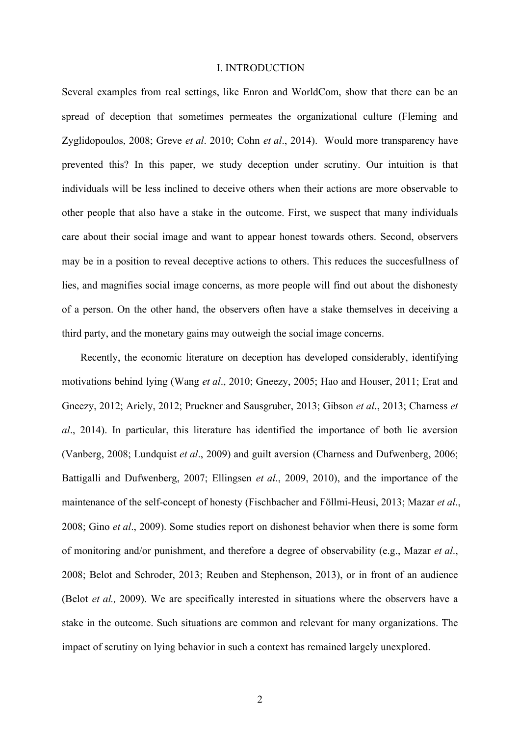#### I. INTRODUCTION

Several examples from real settings, like Enron and WorldCom, show that there can be an spread of deception that sometimes permeates the organizational culture (Fleming and Zyglidopoulos, 2008; Greve *et al*. 2010; Cohn *et al*., 2014). Would more transparency have prevented this? In this paper, we study deception under scrutiny. Our intuition is that individuals will be less inclined to deceive others when their actions are more observable to other people that also have a stake in the outcome. First, we suspect that many individuals care about their social image and want to appear honest towards others. Second, observers may be in a position to reveal deceptive actions to others. This reduces the succesfullness of lies, and magnifies social image concerns, as more people will find out about the dishonesty of a person. On the other hand, the observers often have a stake themselves in deceiving a third party, and the monetary gains may outweigh the social image concerns.

Recently, the economic literature on deception has developed considerably, identifying motivations behind lying (Wang *et al*., 2010; Gneezy, 2005; Hao and Houser, 2011; Erat and Gneezy, 2012; Ariely, 2012; Pruckner and Sausgruber, 2013; Gibson *et al*., 2013; Charness *et al*., 2014). In particular, this literature has identified the importance of both lie aversion (Vanberg, 2008; Lundquist *et al*., 2009) and guilt aversion (Charness and Dufwenberg, 2006; Battigalli and Dufwenberg, 2007; Ellingsen *et al*., 2009, 2010), and the importance of the maintenance of the self-concept of honesty (Fischbacher and Föllmi-Heusi, 2013; Mazar *et al*., 2008; Gino *et al*., 2009). Some studies report on dishonest behavior when there is some form of monitoring and/or punishment, and therefore a degree of observability (e.g., Mazar *et al*., 2008; Belot and Schroder, 2013; Reuben and Stephenson, 2013), or in front of an audience (Belot *et al.,* 2009). We are specifically interested in situations where the observers have a stake in the outcome. Such situations are common and relevant for many organizations. The impact of scrutiny on lying behavior in such a context has remained largely unexplored.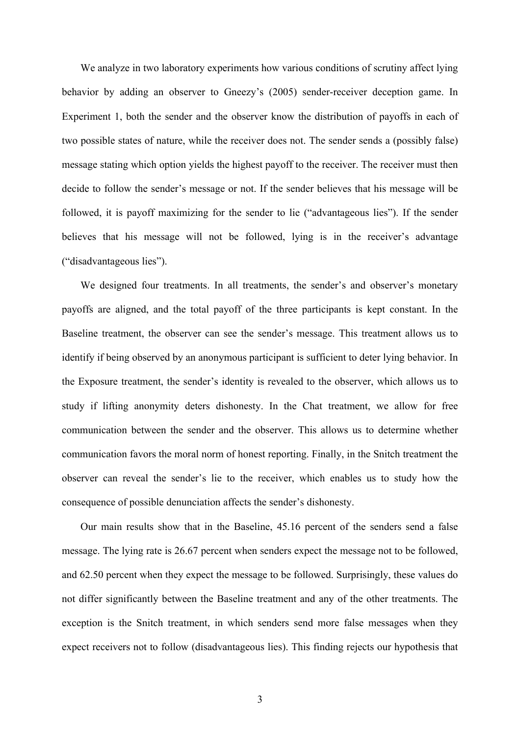We analyze in two laboratory experiments how various conditions of scrutiny affect lying behavior by adding an observer to Gneezy's (2005) sender-receiver deception game. In Experiment 1, both the sender and the observer know the distribution of payoffs in each of two possible states of nature, while the receiver does not. The sender sends a (possibly false) message stating which option yields the highest payoff to the receiver. The receiver must then decide to follow the sender's message or not. If the sender believes that his message will be followed, it is payoff maximizing for the sender to lie ("advantageous lies"). If the sender believes that his message will not be followed, lying is in the receiver's advantage ("disadvantageous lies").

We designed four treatments. In all treatments, the sender's and observer's monetary payoffs are aligned, and the total payoff of the three participants is kept constant. In the Baseline treatment, the observer can see the sender's message. This treatment allows us to identify if being observed by an anonymous participant is sufficient to deter lying behavior. In the Exposure treatment, the sender's identity is revealed to the observer, which allows us to study if lifting anonymity deters dishonesty. In the Chat treatment, we allow for free communication between the sender and the observer. This allows us to determine whether communication favors the moral norm of honest reporting. Finally, in the Snitch treatment the observer can reveal the sender's lie to the receiver, which enables us to study how the consequence of possible denunciation affects the sender's dishonesty.

Our main results show that in the Baseline, 45.16 percent of the senders send a false message. The lying rate is 26.67 percent when senders expect the message not to be followed, and 62.50 percent when they expect the message to be followed. Surprisingly, these values do not differ significantly between the Baseline treatment and any of the other treatments. The exception is the Snitch treatment, in which senders send more false messages when they expect receivers not to follow (disadvantageous lies). This finding rejects our hypothesis that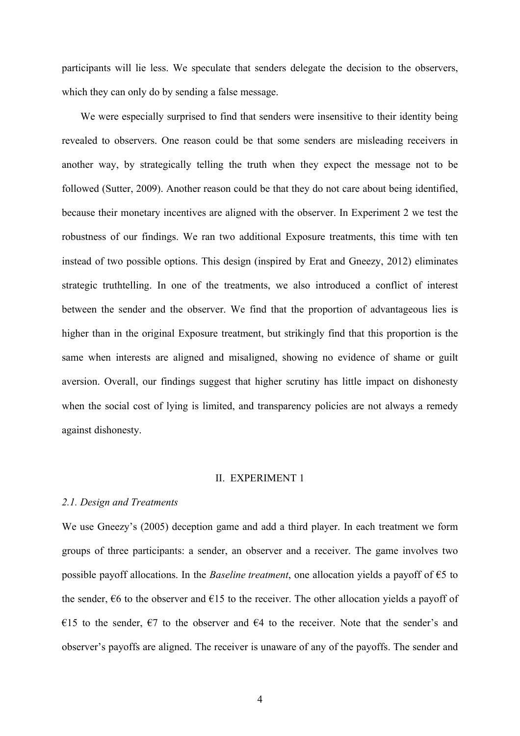participants will lie less. We speculate that senders delegate the decision to the observers, which they can only do by sending a false message.

We were especially surprised to find that senders were insensitive to their identity being revealed to observers. One reason could be that some senders are misleading receivers in another way, by strategically telling the truth when they expect the message not to be followed (Sutter, 2009). Another reason could be that they do not care about being identified, because their monetary incentives are aligned with the observer. In Experiment 2 we test the robustness of our findings. We ran two additional Exposure treatments, this time with ten instead of two possible options. This design (inspired by Erat and Gneezy, 2012) eliminates strategic truthtelling. In one of the treatments, we also introduced a conflict of interest between the sender and the observer. We find that the proportion of advantageous lies is higher than in the original Exposure treatment, but strikingly find that this proportion is the same when interests are aligned and misaligned, showing no evidence of shame or guilt aversion. Overall, our findings suggest that higher scrutiny has little impact on dishonesty when the social cost of lying is limited, and transparency policies are not always a remedy against dishonesty.

#### II. EXPERIMENT 1

#### *2.1. Design and Treatments*

We use Gneezy's (2005) deception game and add a third player. In each treatment we form groups of three participants: a sender, an observer and a receiver. The game involves two possible payoff allocations. In the *Baseline treatment*, one allocation yields a payoff of €5 to the sender,  $\epsilon$ 6 to the observer and  $\epsilon$ 15 to the receiver. The other allocation yields a payoff of €15 to the sender,  $€7$  to the observer and  $€4$  to the receiver. Note that the sender's and observer's payoffs are aligned. The receiver is unaware of any of the payoffs. The sender and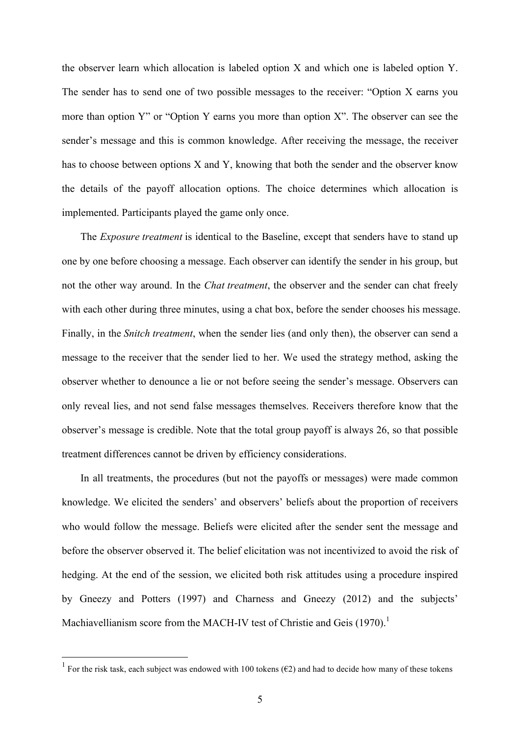the observer learn which allocation is labeled option X and which one is labeled option Y. The sender has to send one of two possible messages to the receiver: "Option X earns you more than option Y" or "Option Y earns you more than option X". The observer can see the sender's message and this is common knowledge. After receiving the message, the receiver has to choose between options X and Y, knowing that both the sender and the observer know the details of the payoff allocation options. The choice determines which allocation is implemented. Participants played the game only once.

The *Exposure treatment* is identical to the Baseline, except that senders have to stand up one by one before choosing a message. Each observer can identify the sender in his group, but not the other way around. In the *Chat treatment*, the observer and the sender can chat freely with each other during three minutes, using a chat box, before the sender chooses his message. Finally, in the *Snitch treatment*, when the sender lies (and only then), the observer can send a message to the receiver that the sender lied to her. We used the strategy method, asking the observer whether to denounce a lie or not before seeing the sender's message. Observers can only reveal lies, and not send false messages themselves. Receivers therefore know that the observer's message is credible. Note that the total group payoff is always 26, so that possible treatment differences cannot be driven by efficiency considerations.

In all treatments, the procedures (but not the payoffs or messages) were made common knowledge. We elicited the senders' and observers' beliefs about the proportion of receivers who would follow the message. Beliefs were elicited after the sender sent the message and before the observer observed it. The belief elicitation was not incentivized to avoid the risk of hedging. At the end of the session, we elicited both risk attitudes using a procedure inspired by Gneezy and Potters (1997) and Charness and Gneezy (2012) and the subjects' Machiavellianism score from the MACH-IV test of Christie and Geis (1970).<sup>1</sup>

<sup>&</sup>lt;sup>1</sup> For the risk task, each subject was endowed with 100 tokens ( $\epsilon$ 2) and had to decide how many of these tokens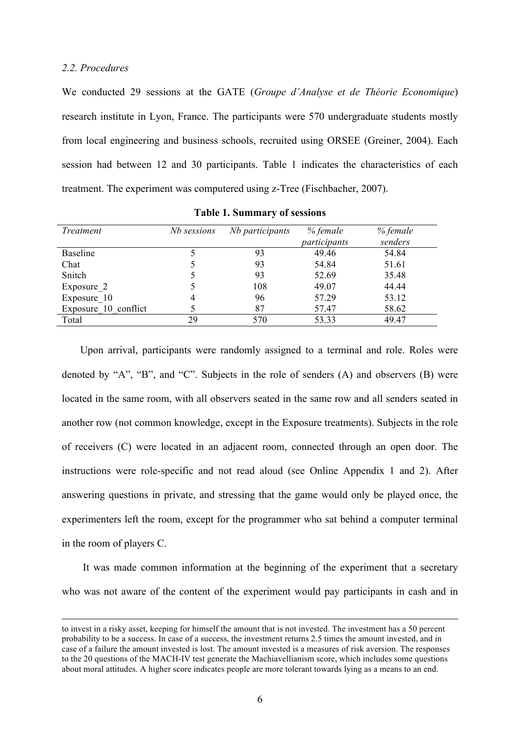#### *2.2. Procedures*

 $\overline{a}$ 

We conducted 29 sessions at the GATE (*Groupe d'Analyse et de Théorie Economique*) research institute in Lyon, France. The participants were 570 undergraduate students mostly from local engineering and business schools, recruited using ORSEE (Greiner, 2004). Each session had between 12 and 30 participants. Table 1 indicates the characteristics of each treatment. The experiment was computered using z-Tree (Fischbacher, 2007).

| <i>Treatment</i>     | Nb sessions | Nb participants | % female<br>participants | % female<br>senders |
|----------------------|-------------|-----------------|--------------------------|---------------------|
| <b>Baseline</b>      |             | 93              | 49.46                    | 54.84               |
| Chat                 |             | 93              | 54.84                    | 51.61               |
| Snitch               |             | 93              | 52.69                    | 35.48               |
| Exposure 2           |             | 108             | 49.07                    | 44.44               |
| Exposure 10          | 4           | 96              | 57.29                    | 53.12               |
| Exposure 10 conflict |             | 87              | 57.47                    | 58.62               |
| Total                | 29          | 570             | 53.33                    | 49.47               |

|  |  |  | <b>Table 1. Summary of sessions</b> |  |  |
|--|--|--|-------------------------------------|--|--|
|--|--|--|-------------------------------------|--|--|

Upon arrival, participants were randomly assigned to a terminal and role. Roles were denoted by "A", "B", and "C". Subjects in the role of senders (A) and observers (B) were located in the same room, with all observers seated in the same row and all senders seated in another row (not common knowledge, except in the Exposure treatments). Subjects in the role of receivers (C) were located in an adjacent room, connected through an open door. The instructions were role-specific and not read aloud (see Online Appendix 1 and 2). After answering questions in private, and stressing that the game would only be played once, the experimenters left the room, except for the programmer who sat behind a computer terminal in the room of players C.

It was made common information at the beginning of the experiment that a secretary who was not aware of the content of the experiment would pay participants in cash and in

to invest in a risky asset, keeping for himself the amount that is not invested. The investment has a 50 percent probability to be a success. In case of a success, the investment returns 2.5 times the amount invested, and in case of a failure the amount invested is lost. The amount invested is a measures of risk aversion. The responses to the 20 questions of the MACH-IV test generate the Machiavellianism score, which includes some questions about moral attitudes. A higher score indicates people are more tolerant towards lying as a means to an end.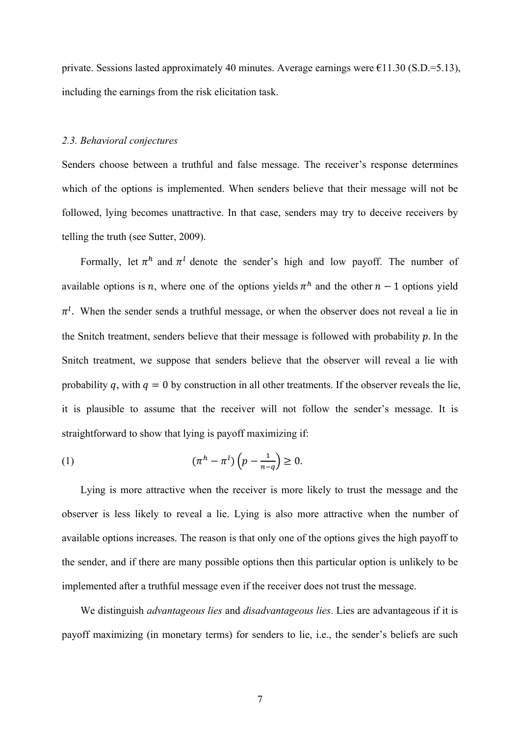private. Sessions lasted approximately 40 minutes. Average earnings were  $\epsilon$ 11.30 (S.D.=5.13), including the earnings from the risk elicitation task.

## *2.3. Behavioral conjectures*

Senders choose between a truthful and false message. The receiver's response determines which of the options is implemented. When senders believe that their message will not be followed, lying becomes unattractive. In that case, senders may try to deceive receivers by telling the truth (see Sutter, 2009).

Formally, let  $\pi^h$  and  $\pi^l$  denote the sender's high and low payoff. The number of available options is *n*, where one of the options yields  $\pi^h$  and the other  $n-1$  options yield  $\pi^{l}$ . When the sender sends a truthful message, or when the observer does not reveal a lie in the Snitch treatment, senders believe that their message is followed with probability  $p$ . In the Snitch treatment, we suppose that senders believe that the observer will reveal a lie with probability q, with  $q = 0$  by construction in all other treatments. If the observer reveals the lie, it is plausible to assume that the receiver will not follow the sender's message. It is straightforward to show that lying is payoff maximizing if:

$$
(1) \qquad \qquad (\pi^h - \pi^l) \left( p - \frac{1}{n - q} \right) \ge 0.
$$

Lying is more attractive when the receiver is more likely to trust the message and the observer is less likely to reveal a lie. Lying is also more attractive when the number of available options increases. The reason is that only one of the options gives the high payoff to the sender, and if there are many possible options then this particular option is unlikely to be implemented after a truthful message even if the receiver does not trust the message.

We distinguish *advantageous lies* and *disadvantageous lies*. Lies are advantageous if it is payoff maximizing (in monetary terms) for senders to lie, i.e., the sender's beliefs are such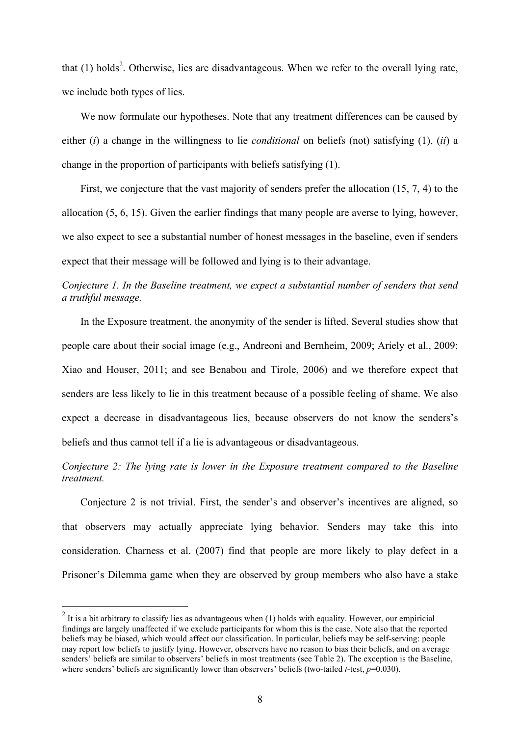that  $(1)$  holds<sup>2</sup>. Otherwise, lies are disadvantageous. When we refer to the overall lying rate, we include both types of lies.

We now formulate our hypotheses. Note that any treatment differences can be caused by either (*i*) a change in the willingness to lie *conditional* on beliefs (not) satisfying (1), (*ii*) a change in the proportion of participants with beliefs satisfying (1).

First, we conjecture that the vast majority of senders prefer the allocation (15, 7, 4) to the allocation (5, 6, 15). Given the earlier findings that many people are averse to lying, however, we also expect to see a substantial number of honest messages in the baseline, even if senders expect that their message will be followed and lying is to their advantage.

## *Conjecture 1. In the Baseline treatment, we expect a substantial number of senders that send a truthful message.*

In the Exposure treatment, the anonymity of the sender is lifted. Several studies show that people care about their social image (e.g., Andreoni and Bernheim, 2009; Ariely et al., 2009; Xiao and Houser, 2011; and see Benabou and Tirole, 2006) and we therefore expect that senders are less likely to lie in this treatment because of a possible feeling of shame. We also expect a decrease in disadvantageous lies, because observers do not know the senders's beliefs and thus cannot tell if a lie is advantageous or disadvantageous.

## *Conjecture 2: The lying rate is lower in the Exposure treatment compared to the Baseline treatment.*

Conjecture 2 is not trivial. First, the sender's and observer's incentives are aligned, so that observers may actually appreciate lying behavior. Senders may take this into consideration. Charness et al. (2007) find that people are more likely to play defect in a Prisoner's Dilemma game when they are observed by group members who also have a stake

 $2$  It is a bit arbitrary to classify lies as advantageous when (1) holds with equality. However, our empiricial findings are largely unaffected if we exclude participants for whom this is the case. Note also that the reported beliefs may be biased, which would affect our classification. In particular, beliefs may be self-serving: people may report low beliefs to justify lying. However, observers have no reason to bias their beliefs, and on average senders' beliefs are similar to observers' beliefs in most treatments (see Table 2). The exception is the Baseline, where senders' beliefs are significantly lower than observers' beliefs (two-tailed *t*-test, *p*=0.030).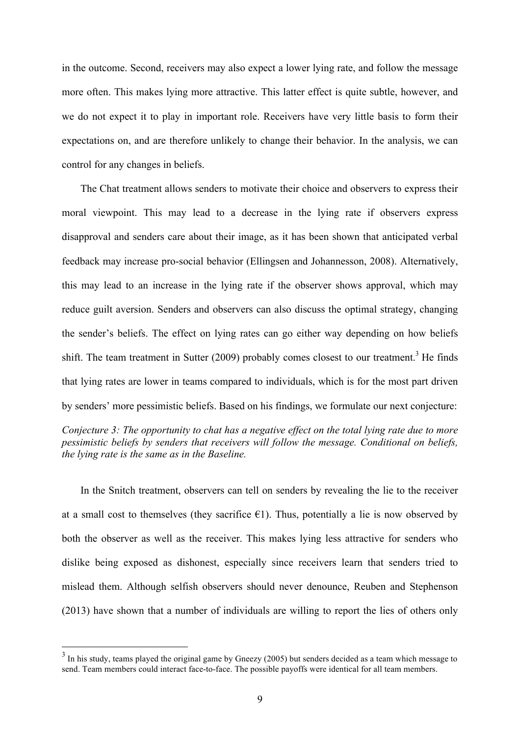in the outcome. Second, receivers may also expect a lower lying rate, and follow the message more often. This makes lying more attractive. This latter effect is quite subtle, however, and we do not expect it to play in important role. Receivers have very little basis to form their expectations on, and are therefore unlikely to change their behavior. In the analysis, we can control for any changes in beliefs.

The Chat treatment allows senders to motivate their choice and observers to express their moral viewpoint. This may lead to a decrease in the lying rate if observers express disapproval and senders care about their image, as it has been shown that anticipated verbal feedback may increase pro-social behavior (Ellingsen and Johannesson, 2008). Alternatively, this may lead to an increase in the lying rate if the observer shows approval, which may reduce guilt aversion. Senders and observers can also discuss the optimal strategy, changing the sender's beliefs. The effect on lying rates can go either way depending on how beliefs shift. The team treatment in Sutter  $(2009)$  probably comes closest to our treatment.<sup>3</sup> He finds that lying rates are lower in teams compared to individuals, which is for the most part driven by senders' more pessimistic beliefs. Based on his findings, we formulate our next conjecture: *Conjecture 3: The opportunity to chat has a negative effect on the total lying rate due to more pessimistic beliefs by senders that receivers will follow the message. Conditional on beliefs, the lying rate is the same as in the Baseline.* 

In the Snitch treatment, observers can tell on senders by revealing the lie to the receiver at a small cost to themselves (they sacrifice  $\epsilon$ 1). Thus, potentially a lie is now observed by both the observer as well as the receiver. This makes lying less attractive for senders who dislike being exposed as dishonest, especially since receivers learn that senders tried to mislead them. Although selfish observers should never denounce, Reuben and Stephenson (2013) have shown that a number of individuals are willing to report the lies of others only

<sup>&</sup>lt;sup>3</sup> In his study, teams played the original game by Gneezy (2005) but senders decided as a team which message to send. Team members could interact face-to-face. The possible payoffs were identical for all team members.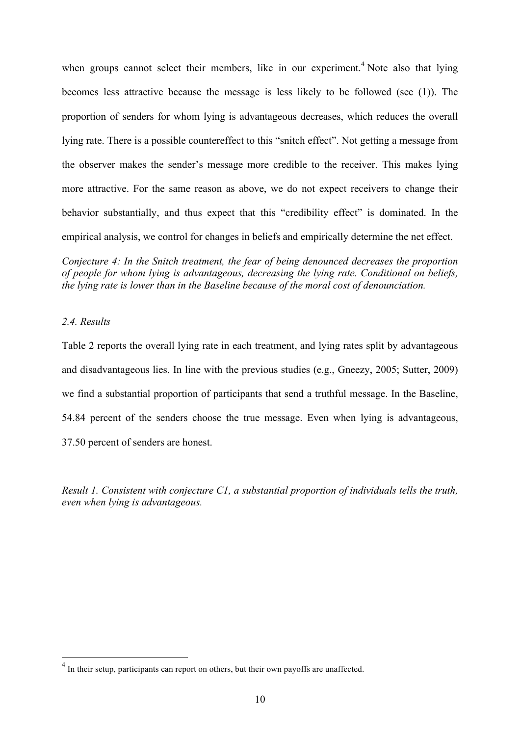when groups cannot select their members, like in our experiment.<sup>4</sup> Note also that lying becomes less attractive because the message is less likely to be followed (see (1)). The proportion of senders for whom lying is advantageous decreases, which reduces the overall lying rate. There is a possible countereffect to this "snitch effect". Not getting a message from the observer makes the sender's message more credible to the receiver. This makes lying more attractive. For the same reason as above, we do not expect receivers to change their behavior substantially, and thus expect that this "credibility effect" is dominated. In the empirical analysis, we control for changes in beliefs and empirically determine the net effect.

*Conjecture 4: In the Snitch treatment, the fear of being denounced decreases the proportion of people for whom lying is advantageous, decreasing the lying rate. Conditional on beliefs, the lying rate is lower than in the Baseline because of the moral cost of denounciation.* 

### *2.4. Results*

Table 2 reports the overall lying rate in each treatment, and lying rates split by advantageous and disadvantageous lies. In line with the previous studies (e.g., Gneezy, 2005; Sutter, 2009) we find a substantial proportion of participants that send a truthful message. In the Baseline, 54.84 percent of the senders choose the true message. Even when lying is advantageous, 37.50 percent of senders are honest.

*Result 1. Consistent with conjecture C1, a substantial proportion of individuals tells the truth, even when lying is advantageous.*

<sup>&</sup>lt;sup>4</sup> In their setup, participants can report on others, but their own payoffs are unaffected.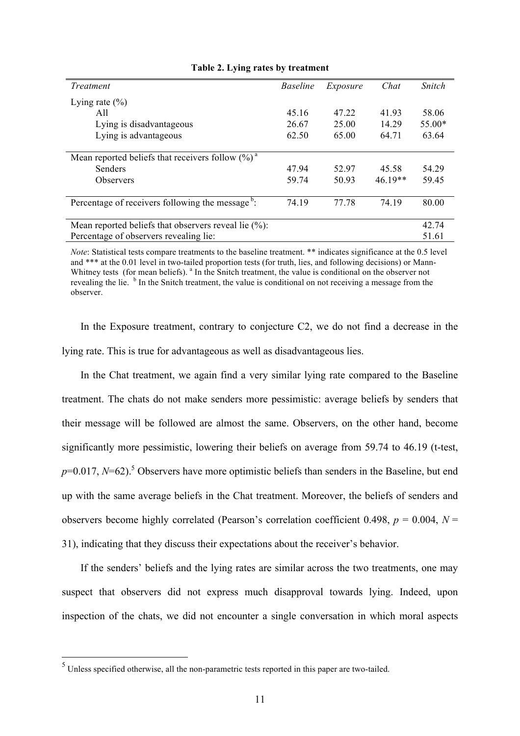| Treatment                                                    | <i>Baseline</i> | Exposure | Chat      | Snitch   |
|--------------------------------------------------------------|-----------------|----------|-----------|----------|
| Lying rate $(\% )$                                           |                 |          |           |          |
| A11                                                          | 45.16           | 47.22    | 41.93     | 58.06    |
| Lying is disadvantageous                                     | 26.67           | 25.00    | 14.29     | $55.00*$ |
| Lying is advantageous                                        | 62.50           | 65.00    | 64.71     | 63.64    |
|                                                              |                 |          |           |          |
| Mean reported beliefs that receivers follow $(\%)^a$         |                 |          |           |          |
| Senders                                                      | 47.94           | 52.97    | 45.58     | 54.29    |
| <b>Observers</b>                                             | 59.74           | 50.93    | $46.19**$ | 59.45    |
|                                                              |                 |          |           |          |
| Percentage of receivers following the message <sup>b</sup> : | 74.19           | 77.78    | 74.19     | 80.00    |
|                                                              |                 |          |           |          |
| Mean reported beliefs that observers reveal lie $(\%)$ :     |                 |          |           | 42.74    |
| Percentage of observers revealing lie:                       |                 |          |           | 51.61    |

#### **Table 2. Lying rates by treatment**

*Note*: Statistical tests compare treatments to the baseline treatment. \*\* indicates significance at the 0.5 level and \*\*\* at the 0.01 level in two-tailed proportion tests (for truth, lies, and following decisions) or Mann-Whitney tests (for mean beliefs). <sup>a</sup> In the Snitch treatment, the value is conditional on the observer not revealing the lie. <sup>b</sup> In the Snitch treatment, the value is conditional on not receiving a message from the observer.

In the Exposure treatment, contrary to conjecture C2, we do not find a decrease in the lying rate. This is true for advantageous as well as disadvantageous lies.

In the Chat treatment, we again find a very similar lying rate compared to the Baseline treatment. The chats do not make senders more pessimistic: average beliefs by senders that their message will be followed are almost the same. Observers, on the other hand, become significantly more pessimistic, lowering their beliefs on average from 59.74 to 46.19 (t-test,  $p=0.017$ ,  $N=62$ ).<sup>5</sup> Observers have more optimistic beliefs than senders in the Baseline, but end up with the same average beliefs in the Chat treatment. Moreover, the beliefs of senders and observers become highly correlated (Pearson's correlation coefficient 0.498,  $p = 0.004$ ,  $N =$ 31), indicating that they discuss their expectations about the receiver's behavior.

If the senders' beliefs and the lying rates are similar across the two treatments, one may suspect that observers did not express much disapproval towards lying. Indeed, upon inspection of the chats, we did not encounter a single conversation in which moral aspects

 <sup>5</sup> Unless specified otherwise, all the non-parametric tests reported in this paper are two-tailed.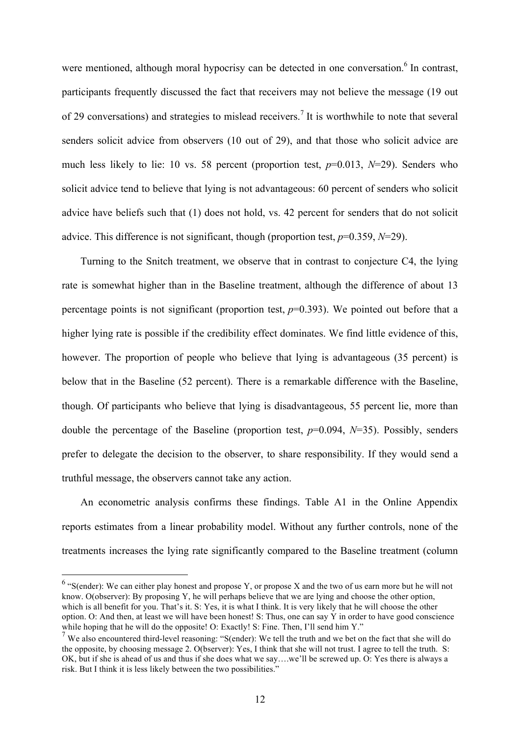were mentioned, although moral hypocrisy can be detected in one conversation.<sup>6</sup> In contrast, participants frequently discussed the fact that receivers may not believe the message (19 out of 29 conversations) and strategies to mislead receivers.<sup>7</sup> It is worthwhile to note that several senders solicit advice from observers (10 out of 29), and that those who solicit advice are much less likely to lie: 10 vs. 58 percent (proportion test, *p*=0.013, *N*=29). Senders who solicit advice tend to believe that lying is not advantageous: 60 percent of senders who solicit advice have beliefs such that (1) does not hold, vs. 42 percent for senders that do not solicit advice. This difference is not significant, though (proportion test, *p*=0.359, *N*=29).

Turning to the Snitch treatment, we observe that in contrast to conjecture C4, the lying rate is somewhat higher than in the Baseline treatment, although the difference of about 13 percentage points is not significant (proportion test,  $p=0.393$ ). We pointed out before that a higher lying rate is possible if the credibility effect dominates. We find little evidence of this, however. The proportion of people who believe that lying is advantageous (35 percent) is below that in the Baseline (52 percent). There is a remarkable difference with the Baseline, though. Of participants who believe that lying is disadvantageous, 55 percent lie, more than double the percentage of the Baseline (proportion test, *p*=0.094, *N*=35). Possibly, senders prefer to delegate the decision to the observer, to share responsibility. If they would send a truthful message, the observers cannot take any action.

An econometric analysis confirms these findings. Table A1 in the Online Appendix reports estimates from a linear probability model. Without any further controls, none of the treatments increases the lying rate significantly compared to the Baseline treatment (column

 $6$  "S(ender): We can either play honest and propose Y, or propose X and the two of us earn more but he will not know. O(observer): By proposing Y, he will perhaps believe that we are lying and choose the other option, which is all benefit for you. That's it. S: Yes, it is what I think. It is very likely that he will choose the other option. O: And then, at least we will have been honest! S: Thus, one can say Y in order to have good conscience while hoping that he will do the opposite! O: Exactly! S: Fine. Then, I'll send him Y."

 $\frac{7}{10}$  We also encountered third-level reasoning: "S(ender): We tell the truth and we bet on the fact that she will do the opposite, by choosing message 2. O(bserver): Yes, I think that she will not trust. I agree to tell the truth. S: OK, but if she is ahead of us and thus if she does what we say….we'll be screwed up. O: Yes there is always a risk. But I think it is less likely between the two possibilities."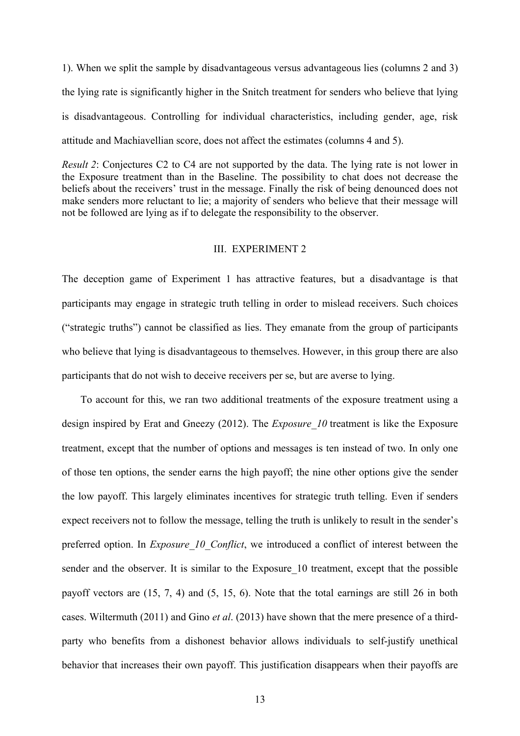1). When we split the sample by disadvantageous versus advantageous lies (columns 2 and 3) the lying rate is significantly higher in the Snitch treatment for senders who believe that lying is disadvantageous. Controlling for individual characteristics, including gender, age, risk attitude and Machiavellian score, does not affect the estimates (columns 4 and 5).

*Result 2*: Conjectures C2 to C4 are not supported by the data. The lying rate is not lower in the Exposure treatment than in the Baseline. The possibility to chat does not decrease the beliefs about the receivers' trust in the message. Finally the risk of being denounced does not make senders more reluctant to lie; a majority of senders who believe that their message will not be followed are lying as if to delegate the responsibility to the observer.

### III. EXPERIMENT 2

The deception game of Experiment 1 has attractive features, but a disadvantage is that participants may engage in strategic truth telling in order to mislead receivers. Such choices ("strategic truths") cannot be classified as lies. They emanate from the group of participants who believe that lying is disadvantageous to themselves. However, in this group there are also participants that do not wish to deceive receivers per se, but are averse to lying.

To account for this, we ran two additional treatments of the exposure treatment using a design inspired by Erat and Gneezy (2012). The *Exposure* 10 treatment is like the Exposure treatment, except that the number of options and messages is ten instead of two. In only one of those ten options, the sender earns the high payoff; the nine other options give the sender the low payoff. This largely eliminates incentives for strategic truth telling. Even if senders expect receivers not to follow the message, telling the truth is unlikely to result in the sender's preferred option. In *Exposure 10 Conflict*, we introduced a conflict of interest between the sender and the observer. It is similar to the Exposure 10 treatment, except that the possible payoff vectors are (15, 7, 4) and (5, 15, 6). Note that the total earnings are still 26 in both cases. Wiltermuth (2011) and Gino *et al*. (2013) have shown that the mere presence of a thirdparty who benefits from a dishonest behavior allows individuals to self-justify unethical behavior that increases their own payoff. This justification disappears when their payoffs are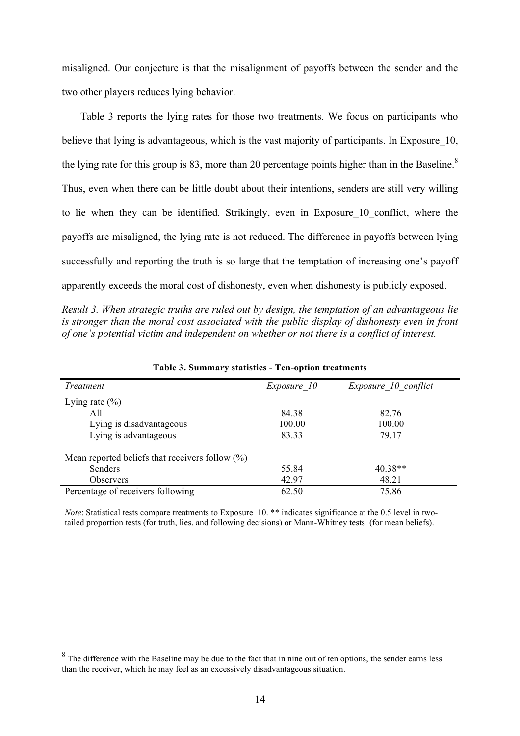misaligned. Our conjecture is that the misalignment of payoffs between the sender and the two other players reduces lying behavior.

Table 3 reports the lying rates for those two treatments. We focus on participants who believe that lying is advantageous, which is the vast majority of participants. In Exposure 10, the lying rate for this group is 83, more than 20 percentage points higher than in the Baseline.<sup>8</sup> Thus, even when there can be little doubt about their intentions, senders are still very willing to lie when they can be identified. Strikingly, even in Exposure\_10\_conflict, where the payoffs are misaligned, the lying rate is not reduced. The difference in payoffs between lying successfully and reporting the truth is so large that the temptation of increasing one's payoff apparently exceeds the moral cost of dishonesty, even when dishonesty is publicly exposed.

*Result 3. When strategic truths are ruled out by design, the temptation of an advantageous lie is stronger than the moral cost associated with the public display of dishonesty even in front of one's potential victim and independent on whether or not there is a conflict of interest.*

| <i>Treatment</i>                                   | Exposure 10 | Exposure 10 conflict |
|----------------------------------------------------|-------------|----------------------|
| Lying rate $(\% )$                                 |             |                      |
| A11                                                | 84.38       | 82.76                |
| Lying is disadvantageous                           | 100.00      | 100.00               |
| Lying is advantageous                              | 83.33       | 79.17                |
| Mean reported beliefs that receivers follow $(\%)$ |             |                      |
| Senders                                            | 55.84       | 40.38**              |
| <b>Observers</b>                                   | 42.97       | 48.21                |
| Percentage of receivers following                  | 62.50       | 75.86                |

**Table 3. Summary statistics - Ten-option treatments**

*Note*: Statistical tests compare treatments to Exposure 10. \*\* indicates significance at the 0.5 level in twotailed proportion tests (for truth, lies, and following decisions) or Mann-Whitney tests (for mean beliefs).

 $8$  The difference with the Baseline may be due to the fact that in nine out of ten options, the sender earns less than the receiver, which he may feel as an excessively disadvantageous situation.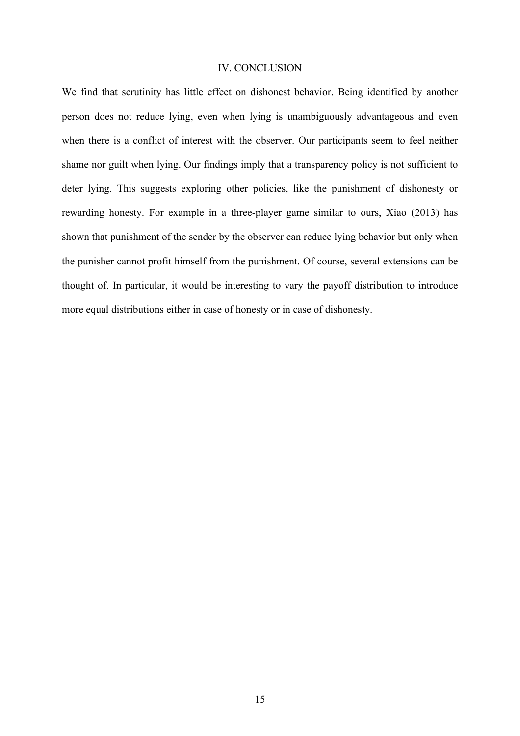## IV. CONCLUSION

We find that scrutinity has little effect on dishonest behavior. Being identified by another person does not reduce lying, even when lying is unambiguously advantageous and even when there is a conflict of interest with the observer. Our participants seem to feel neither shame nor guilt when lying. Our findings imply that a transparency policy is not sufficient to deter lying. This suggests exploring other policies, like the punishment of dishonesty or rewarding honesty. For example in a three-player game similar to ours, Xiao (2013) has shown that punishment of the sender by the observer can reduce lying behavior but only when the punisher cannot profit himself from the punishment. Of course, several extensions can be thought of. In particular, it would be interesting to vary the payoff distribution to introduce more equal distributions either in case of honesty or in case of dishonesty.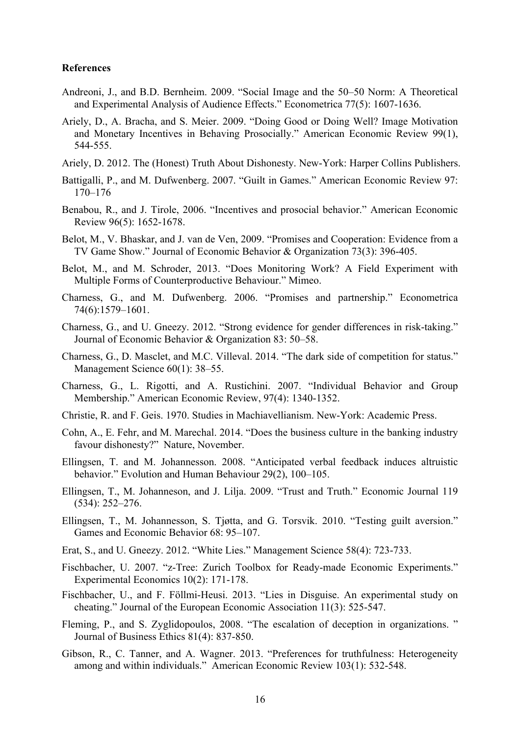#### **References**

- Andreoni, J., and B.D. Bernheim. 2009. "Social Image and the 50–50 Norm: A Theoretical and Experimental Analysis of Audience Effects." Econometrica 77(5): 1607-1636.
- Ariely, D., A. Bracha, and S. Meier. 2009. "Doing Good or Doing Well? Image Motivation and Monetary Incentives in Behaving Prosocially." American Economic Review 99(1), 544-555.
- Ariely, D. 2012. The (Honest) Truth About Dishonesty. New-York: Harper Collins Publishers.
- Battigalli, P., and M. Dufwenberg. 2007. "Guilt in Games." American Economic Review 97: 170–176
- Benabou, R., and J. Tirole, 2006. "Incentives and prosocial behavior." American Economic Review 96(5): 1652-1678.
- Belot, M., V. Bhaskar, and J. van de Ven, 2009. "Promises and Cooperation: Evidence from a TV Game Show." Journal of Economic Behavior & Organization 73(3): 396-405.
- Belot, M., and M. Schroder, 2013. "Does Monitoring Work? A Field Experiment with Multiple Forms of Counterproductive Behaviour." Mimeo.
- Charness, G., and M. Dufwenberg. 2006. "Promises and partnership." Econometrica 74(6):1579–1601.
- Charness, G., and U. Gneezy. 2012. "Strong evidence for gender differences in risk-taking." Journal of Economic Behavior & Organization 83: 50–58.
- Charness, G., D. Masclet, and M.C. Villeval. 2014. "The dark side of competition for status." Management Science 60(1): 38–55.
- Charness, G., L. Rigotti, and A. Rustichini. 2007. "Individual Behavior and Group Membership." American Economic Review, 97(4): 1340-1352.
- Christie, R. and F. Geis. 1970. Studies in Machiavellianism. New-York: Academic Press.
- Cohn, A., E. Fehr, and M. Marechal. 2014. "Does the business culture in the banking industry favour dishonesty?" Nature, November.
- Ellingsen, T. and M. Johannesson. 2008. "Anticipated verbal feedback induces altruistic behavior." Evolution and Human Behaviour 29(2), 100–105.
- Ellingsen, T., M. Johanneson, and J. Lilja. 2009. "Trust and Truth." Economic Journal 119 (534): 252–276.
- Ellingsen, T., M. Johannesson, S. Tjøtta, and G. Torsvik. 2010. "Testing guilt aversion." Games and Economic Behavior 68: 95–107.
- Erat, S., and U. Gneezy. 2012. "White Lies." Management Science 58(4): 723-733.
- Fischbacher, U. 2007. "z-Tree: Zurich Toolbox for Ready-made Economic Experiments." Experimental Economics 10(2): 171-178.
- Fischbacher, U., and F. Föllmi-Heusi. 2013. "Lies in Disguise. An experimental study on cheating." Journal of the European Economic Association 11(3): 525-547.
- Fleming, P., and S. Zyglidopoulos, 2008. "The escalation of deception in organizations. " Journal of Business Ethics 81(4): 837-850.
- Gibson, R., C. Tanner, and A. Wagner. 2013. "Preferences for truthfulness: Heterogeneity among and within individuals." American Economic Review 103(1): 532-548.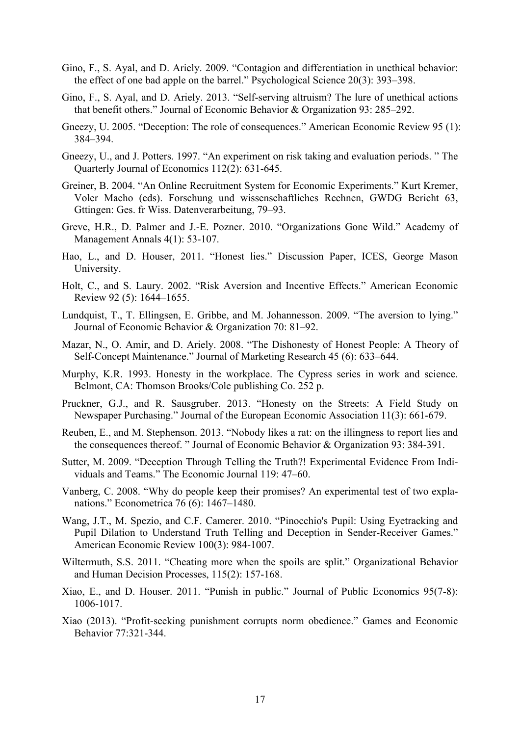- Gino, F., S. Ayal, and D. Ariely. 2009. "Contagion and differentiation in unethical behavior: the effect of one bad apple on the barrel." Psychological Science 20(3): 393–398.
- Gino, F., S. Ayal, and D. Ariely. 2013. "Self-serving altruism? The lure of unethical actions that benefit others." Journal of Economic Behavior & Organization 93: 285–292.
- Gneezy, U. 2005. "Deception: The role of consequences." American Economic Review 95 (1): 384–394.
- Gneezy, U., and J. Potters. 1997. "An experiment on risk taking and evaluation periods. " The Quarterly Journal of Economics 112(2): 631-645.
- Greiner, B. 2004. "An Online Recruitment System for Economic Experiments." Kurt Kremer, Voler Macho (eds). Forschung und wissenschaftliches Rechnen, GWDG Bericht 63, Gttingen: Ges. fr Wiss. Datenverarbeitung, 79–93.
- Greve, H.R., D. Palmer and J.-E. Pozner. 2010. "Organizations Gone Wild." Academy of Management Annals 4(1): 53-107.
- Hao, L., and D. Houser, 2011. "Honest lies." Discussion Paper, ICES, George Mason University.
- Holt, C., and S. Laury. 2002. "Risk Aversion and Incentive Effects." American Economic Review 92 (5): 1644–1655.
- Lundquist, T., T. Ellingsen, E. Gribbe, and M. Johannesson. 2009. "The aversion to lying." Journal of Economic Behavior & Organization 70: 81–92.
- Mazar, N., O. Amir, and D. Ariely. 2008. "The Dishonesty of Honest People: A Theory of Self-Concept Maintenance." Journal of Marketing Research 45 (6): 633–644.
- Murphy, K.R. 1993. Honesty in the workplace. The Cypress series in work and science. Belmont, CA: Thomson Brooks/Cole publishing Co. 252 p.
- Pruckner, G.J., and R. Sausgruber. 2013. "Honesty on the Streets: A Field Study on Newspaper Purchasing." Journal of the European Economic Association 11(3): 661-679.
- Reuben, E., and M. Stephenson. 2013. "Nobody likes a rat: on the illingness to report lies and the consequences thereof. " Journal of Economic Behavior & Organization 93: 384-391.
- Sutter, M. 2009. "Deception Through Telling the Truth?! Experimental Evidence From Individuals and Teams." The Economic Journal 119: 47–60.
- Vanberg, C. 2008. "Why do people keep their promises? An experimental test of two explanations." Econometrica 76 (6): 1467–1480.
- Wang, J.T., M. Spezio, and C.F. Camerer. 2010. "Pinocchio's Pupil: Using Eyetracking and Pupil Dilation to Understand Truth Telling and Deception in Sender-Receiver Games." American Economic Review 100(3): 984-1007.
- Wiltermuth, S.S. 2011. "Cheating more when the spoils are split." Organizational Behavior and Human Decision Processes, 115(2): 157-168.
- Xiao, E., and D. Houser. 2011. "Punish in public." Journal of Public Economics 95(7-8): 1006-1017.
- Xiao (2013). "Profit-seeking punishment corrupts norm obedience." Games and Economic Behavior 77:321-344.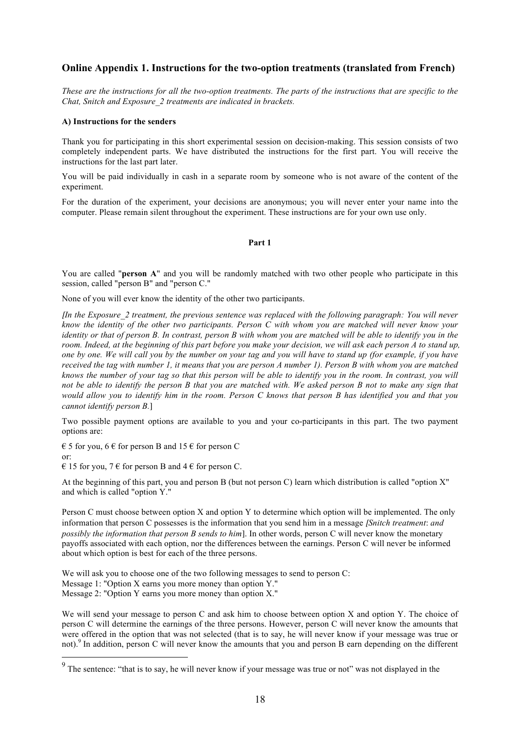## **Online Appendix 1. Instructions for the two-option treatments (translated from French)**

*These are the instructions for all the two-option treatments. The parts of the instructions that are specific to the Chat, Snitch and Exposure\_2 treatments are indicated in brackets.*

#### **A) Instructions for the senders**

Thank you for participating in this short experimental session on decision-making. This session consists of two completely independent parts. We have distributed the instructions for the first part. You will receive the instructions for the last part later.

You will be paid individually in cash in a separate room by someone who is not aware of the content of the experiment.

For the duration of the experiment, your decisions are anonymous; you will never enter your name into the computer. Please remain silent throughout the experiment. These instructions are for your own use only.

#### **Part 1**

You are called "**person A**" and you will be randomly matched with two other people who participate in this session, called "person B" and "person C."

None of you will ever know the identity of the other two participants.

[*In the Exposure\_2 treatment, the previous sentence was replaced with the following paragraph: You will never know the identity of the other two participants. Person C with whom you are matched will never know your identity or that of person B. In contrast, person B with whom you are matched will be able to identify you in the room. Indeed, at the beginning of this part before you make your decision, we will ask each person A to stand up, one by one. We will call you by the number on your tag and you will have to stand up (for example, if you have received the tag with number 1, it means that you are person A number 1). Person B with whom you are matched knows the number of your tag so that this person will be able to identify you in the room. In contrast, you will not be able to identify the person B that you are matched with. We asked person B not to make any sign that would allow you to identify him in the room. Person C knows that person B has identified you and that you cannot identify person B.*]

Two possible payment options are available to you and your co-participants in this part. The two payment options are:

 $\epsilon$  5 for you, 6  $\epsilon$  for person B and 15  $\epsilon$  for person C or:

 $\in$  15 for you, 7  $\in$  for person B and 4  $\in$  for person C.

At the beginning of this part, you and person B (but not person C) learn which distribution is called "option X" and which is called "option Y."

Person C must choose between option X and option Y to determine which option will be implemented. The only information that person C possesses is the information that you send him in a message [*Snitch treatment*: *and possibly the information that person B sends to him*]. In other words, person C will never know the monetary payoffs associated with each option, nor the differences between the earnings. Person C will never be informed about which option is best for each of the three persons.

We will ask you to choose one of the two following messages to send to person C: Message 1: "Option X earns you more money than option Y." Message 2: "Option Y earns you more money than option X."

We will send your message to person C and ask him to choose between option X and option Y. The choice of person C will determine the earnings of the three persons. However, person C will never know the amounts that were offered in the option that was not selected (that is to say, he will never know if your message was true or not).<sup>9</sup> In addition, person C will never know the amounts that you and person B earn depending on the different

<sup>&</sup>lt;sup>9</sup> The sentence: "that is to say, he will never know if your message was true or not" was not displayed in the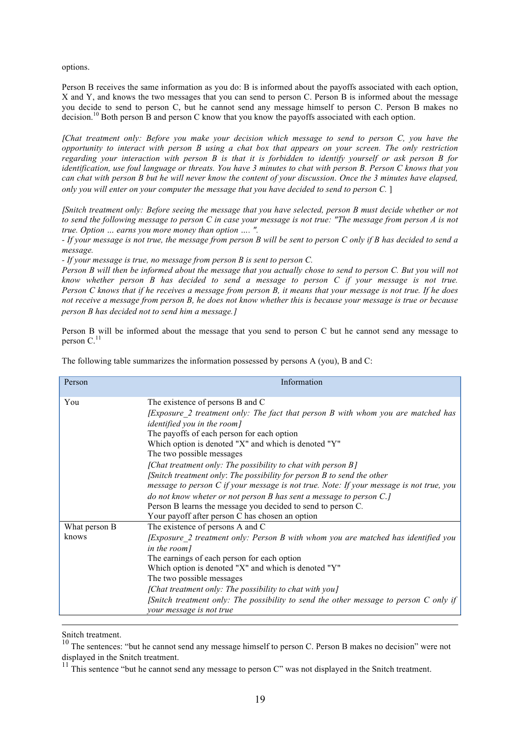options.

Person B receives the same information as you do: B is informed about the payoffs associated with each option, X and Y, and knows the two messages that you can send to person C. Person B is informed about the message you decide to send to person C, but he cannot send any message himself to person C. Person B makes no decision.<sup>10</sup> Both person B and person C know that you know the payoffs associated with each option.

[*Chat treatment only: Before you make your decision which message to send to person C, you have the opportunity to interact with person B using a chat box that appears on your screen. The only restriction regarding your interaction with person B is that it is forbidden to identify yourself or ask person B for identification, use foul language or threats. You have 3 minutes to chat with person B. Person C knows that you can chat with person B but he will never know the content of your discussion*. *Once the 3 minutes have elapsed, only you will enter on your computer the message that you have decided to send to person C.* ]

[*Snitch treatment only: Before seeing the message that you have selected, person B must decide whether or not to send the following message to person C in case your message is not true: "The message from person A is not true. Option … earns you more money than option …. ".* 

*- If your message is not true, the message from person B will be sent to person C only if B has decided to send a message.*

*- If your message is true, no message from person B is sent to person C.* 

*Person B will then be informed about the message that you actually chose to send to person C. But you will not know whether person B has decided to send a message to person C if your message is not true. Person C knows that if he receives a message from person B, it means that your message is not true. If he does not receive a message from person B, he does not know whether this is because your message is true or because person B has decided not to send him a message.*]

Person B will be informed about the message that you send to person C but he cannot send any message to person  $C<sup>11</sup>$ 

| Person                 | Information                                                                                                                                                                                                                                                                                                                                                                                                                                                                                                                                                                                                                                                                                                                  |
|------------------------|------------------------------------------------------------------------------------------------------------------------------------------------------------------------------------------------------------------------------------------------------------------------------------------------------------------------------------------------------------------------------------------------------------------------------------------------------------------------------------------------------------------------------------------------------------------------------------------------------------------------------------------------------------------------------------------------------------------------------|
| You                    | The existence of persons B and C<br>[Exposure 2 treatment only: The fact that person B with whom you are matched has<br><i>identified you in the room]</i><br>The payoffs of each person for each option<br>Which option is denoted "X" and which is denoted "Y"<br>The two possible messages<br>[Chat treatment only: The possibility to chat with person B]<br>[Snitch treatment only: The possibility for person B to send the other<br>message to person C if your message is not true. Note: If your message is not true, you<br>do not know wheter or not person B has sent a message to person C.]<br>Person B learns the message you decided to send to person C.<br>Your payoff after person C has chosen an option |
| What person B<br>knows | The existence of persons A and C<br>[Exposure 2 treatment only: Person B with whom you are matched has identified you<br>in the room]<br>The earnings of each person for each option<br>Which option is denoted "X" and which is denoted "Y"<br>The two possible messages<br>[Chat treatment only: The possibility to chat with you]<br>[Snitch treatment only: The possibility to send the other message to person $C$ only if<br>your message is not true                                                                                                                                                                                                                                                                  |

The following table summarizes the information possessed by persons A (you), B and C:

Snitch treatment.

<sup>&</sup>lt;sup>10</sup> The sentences: "but he cannot send any message himself to person C. Person B makes no decision" were not displayed in the Snitch treatment.

<sup>&</sup>lt;sup>11</sup> This sentence "but he cannot send any message to person C" was not displayed in the Snitch treatment.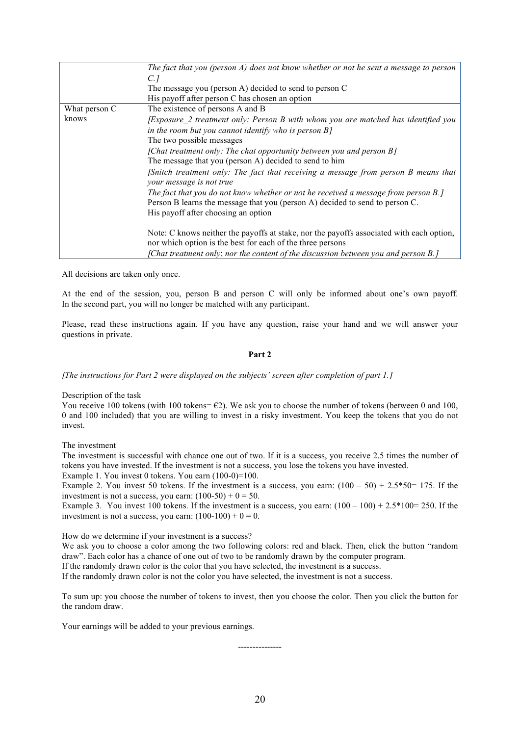|               | The fact that you (person $A$ ) does not know whether or not he sent a message to person                                                               |
|---------------|--------------------------------------------------------------------------------------------------------------------------------------------------------|
|               | C. 1                                                                                                                                                   |
|               | The message you (person A) decided to send to person C                                                                                                 |
|               | His payoff after person C has chosen an option                                                                                                         |
| What person C | The existence of persons A and B                                                                                                                       |
| knows         | [Exposure 2 treatment only: Person B with whom you are matched has identified you                                                                      |
|               | in the room but you cannot identify who is person $B$ ]                                                                                                |
|               | The two possible messages                                                                                                                              |
|               | [Chat treatment only: The chat opportunity between you and person B]                                                                                   |
|               | The message that you (person A) decided to send to him                                                                                                 |
|               | [Snitch treatment only: The fact that receiving a message from person B means that<br>your message is not true                                         |
|               | The fact that you do not know whether or not he received a message from person B.]                                                                     |
|               | Person B learns the message that you (person A) decided to send to person C.                                                                           |
|               | His payoff after choosing an option                                                                                                                    |
|               | Note: C knows neither the payoffs at stake, nor the payoffs associated with each option,<br>nor which option is the best for each of the three persons |
|               | [Chat treatment only: nor the content of the discussion between you and person B.]                                                                     |

All decisions are taken only once.

At the end of the session, you, person B and person C will only be informed about one's own payoff. In the second part, you will no longer be matched with any participant.

Please, read these instructions again. If you have any question, raise your hand and we will answer your questions in private.

#### **Part 2**

[*The instructions for Part 2 were displayed on the subjects' screen after completion of part 1.*]

#### Description of the task

You receive 100 tokens (with 100 tokens=  $E2$ ). We ask you to choose the number of tokens (between 0 and 100, 0 and 100 included) that you are willing to invest in a risky investment. You keep the tokens that you do not invest.

The investment

The investment is successful with chance one out of two. If it is a success, you receive 2.5 times the number of tokens you have invested. If the investment is not a success, you lose the tokens you have invested.

Example 1. You invest 0 tokens. You earn (100-0)=100.

Example 2. You invest 50 tokens. If the investment is a success, you earn:  $(100 - 50) + 2.5*50= 175$ . If the investment is not a success, you earn:  $(100-50) + 0 = 50$ .

Example 3. You invest 100 tokens. If the investment is a success, you earn:  $(100 - 100) + 2.5*100 = 250$ . If the investment is not a success, you earn:  $(100-100) + 0 = 0$ .

How do we determine if your investment is a success?

We ask you to choose a color among the two following colors: red and black. Then, click the button "random" draw". Each color has a chance of one out of two to be randomly drawn by the computer program.

If the randomly drawn color is the color that you have selected, the investment is a success.

If the randomly drawn color is not the color you have selected, the investment is not a success.

To sum up: you choose the number of tokens to invest, then you choose the color. Then you click the button for the random draw.

Your earnings will be added to your previous earnings.

---------------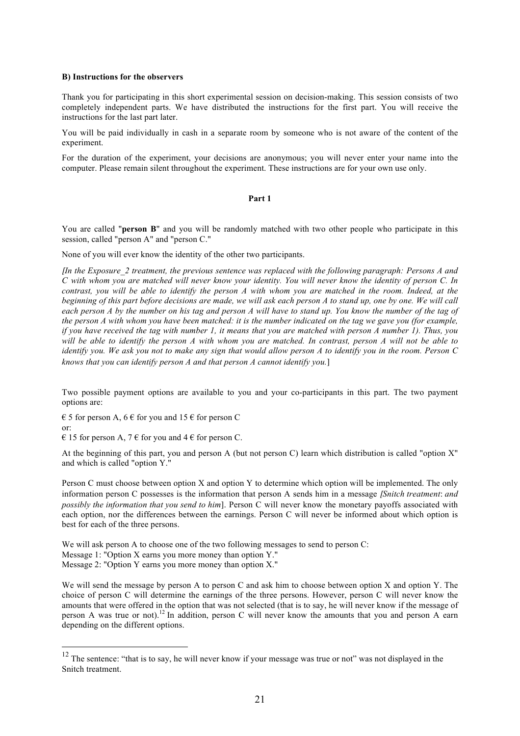#### **B) Instructions for the observers**

Thank you for participating in this short experimental session on decision-making. This session consists of two completely independent parts. We have distributed the instructions for the first part. You will receive the instructions for the last part later.

You will be paid individually in cash in a separate room by someone who is not aware of the content of the experiment.

For the duration of the experiment, your decisions are anonymous; you will never enter your name into the computer. Please remain silent throughout the experiment. These instructions are for your own use only.

#### **Part 1**

You are called "**person B**" and you will be randomly matched with two other people who participate in this session, called "person A" and "person C."

None of you will ever know the identity of the other two participants.

[*In the Exposure\_2 treatment, the previous sentence was replaced with the following paragraph: Persons A and C with whom you are matched will never know your identity. You will never know the identity of person C. In contrast, you will be able to identify the person A with whom you are matched in the room. Indeed, at the beginning of this part before decisions are made, we will ask each person A to stand up, one by one. We will call each person A by the number on his tag and person A will have to stand up. You know the number of the tag of the person A with whom you have been matched: it is the number indicated on the tag we gave you (for example, if you have received the tag with number 1, it means that you are matched with person A number 1). Thus, you will be able to identify the person A with whom you are matched. In contrast, person A will not be able to identify you. We ask you not to make any sign that would allow person A to identify you in the room. Person C knows that you can identify person A and that person A cannot identify you.*]

Two possible payment options are available to you and your co-participants in this part. The two payment options are:

 $\epsilon$  5 for person A, 6  $\epsilon$  for you and 15  $\epsilon$  for person C

or:

 $\in$  15 for person A, 7  $\in$  for you and 4  $\in$  for person C.

At the beginning of this part, you and person A (but not person C) learn which distribution is called "option X" and which is called "option Y."

Person C must choose between option X and option Y to determine which option will be implemented. The only information person C possesses is the information that person A sends him in a message [*Snitch treatment*: *and possibly the information that you send to him*]. Person C will never know the monetary payoffs associated with each option, nor the differences between the earnings. Person C will never be informed about which option is best for each of the three persons.

We will ask person A to choose one of the two following messages to send to person C: Message 1: "Option X earns you more money than option Y." Message 2: "Option Y earns you more money than option X."

We will send the message by person A to person C and ask him to choose between option X and option Y. The choice of person C will determine the earnings of the three persons. However, person C will never know the amounts that were offered in the option that was not selected (that is to say, he will never know if the message of person A was true or not).<sup>12</sup> In addition, person C will never know the amounts that you and person A earn depending on the different options.

<sup>&</sup>lt;sup>12</sup> The sentence: "that is to say, he will never know if your message was true or not" was not displayed in the Snitch treatment.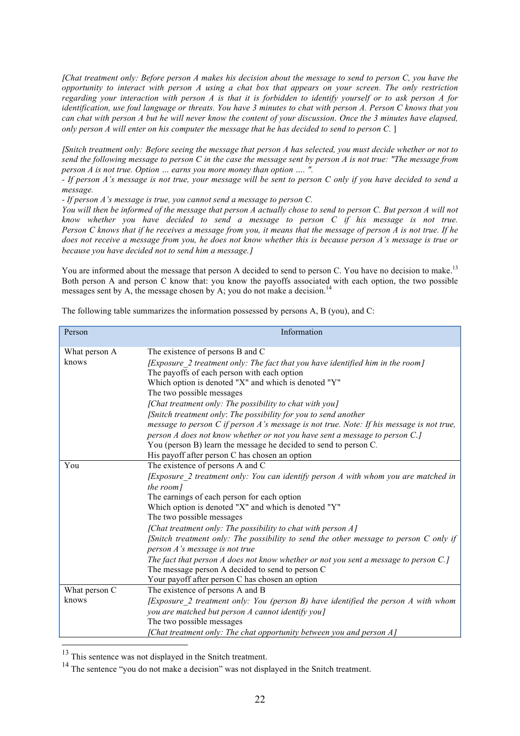[*Chat treatment only: Before person A makes his decision about the message to send to person C, you have the opportunity to interact with person A using a chat box that appears on your screen. The only restriction regarding your interaction with person A is that it is forbidden to identify yourself or to ask person A for identification, use foul language or threats. You have 3 minutes to chat with person A. Person C knows that you can chat with person A but he will never know the content of your discussion*. *Once the 3 minutes have elapsed, only person A will enter on his computer the message that he has decided to send to person C.* ]

[*Snitch treatment only: Before seeing the message that person A has selected, you must decide whether or not to send the following message to person C in the case the message sent by person A is not true: "The message from person A is not true. Option … earns you more money than option …. ".* 

*- If person A's message is not true, your message will be sent to person C only if you have decided to send a message.*

*- If person A's message is true, you cannot send a message to person C.* 

You will then be informed of the message that person A actually chose to send to person C. But person A will not *know whether you have decided to send a message to person C if his message is not true. Person C knows that if he receives a message from you, it means that the message of person A is not true. If he does not receive a message from you, he does not know whether this is because person A's message is true or because you have decided not to send him a message.*]

You are informed about the message that person A decided to send to person C. You have no decision to make.<sup>13</sup> Both person A and person C know that: you know the payoffs associated with each option, the two possible messages sent by A, the message chosen by A; you do not make a decision.<sup>14</sup>

| Person        | Information                                                                              |
|---------------|------------------------------------------------------------------------------------------|
| What person A | The existence of persons B and C                                                         |
| knows         | [Exposure 2 treatment only: The fact that you have identified him in the room]           |
|               | The payoffs of each person with each option                                              |
|               | Which option is denoted "X" and which is denoted "Y"<br>The two possible messages        |
|               | [Chat treatment only: The possibility to chat with you]                                  |
|               | [Snitch treatment only: The possibility for you to send another                          |
|               | message to person C if person A's message is not true. Note: If his message is not true, |
|               | person A does not know whether or not you have sent a message to person C.]              |
|               | You (person B) learn the message he decided to send to person C.                         |
|               | His payoff after person C has chosen an option                                           |
| You           | The existence of persons A and C                                                         |
|               | [Exposure 2 treatment only: You can identify person A with whom you are matched in       |
|               | the room]                                                                                |
|               | The earnings of each person for each option                                              |
|               | Which option is denoted "X" and which is denoted "Y"                                     |
|               | The two possible messages                                                                |
|               | [Chat treatment only: The possibility to chat with person $A$ ]                          |
|               | [Snitch treatment only: The possibility to send the other message to person $C$ only if  |
|               | person A's message is not true                                                           |
|               | The fact that person A does not know whether or not you sent a message to person $C$ .]  |
|               | The message person A decided to send to person C                                         |
|               | Your payoff after person C has chosen an option                                          |
| What person C | The existence of persons A and B                                                         |
| knows         | [Exposure_2 treatment only: You (person B) have identified the person A with whom        |
|               | you are matched but person A cannot identify you]                                        |
|               | The two possible messages                                                                |
|               | [Chat treatment only: The chat opportunity between you and person A]                     |

The following table summarizes the information possessed by persons A, B (you), and C:

<sup>&</sup>lt;sup>13</sup> This sentence was not displayed in the Snitch treatment.

<sup>&</sup>lt;sup>14</sup> The sentence "you do not make a decision" was not displayed in the Snitch treatment.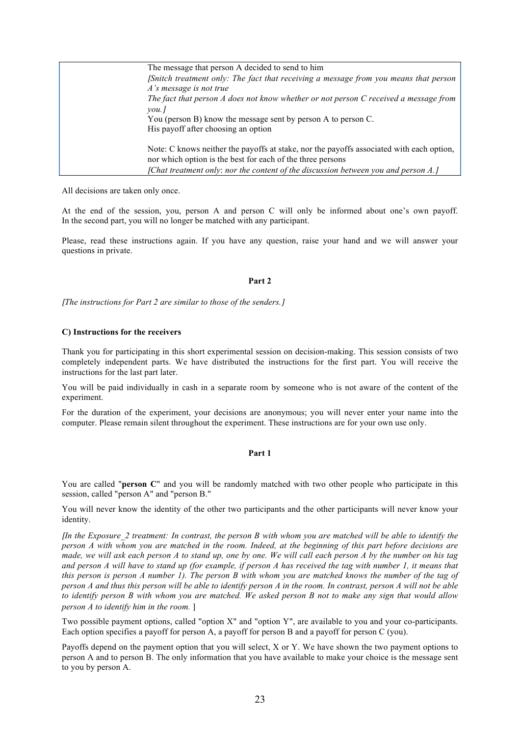| The message that person A decided to send to him                                   |                                                                                          |
|------------------------------------------------------------------------------------|------------------------------------------------------------------------------------------|
|                                                                                    | [Snitch treatment only: The fact that receiving a message from you means that person     |
| A's message is not true                                                            |                                                                                          |
|                                                                                    | The fact that person A does not know whether or not person C received a message from     |
| $\mathit{vou}.$                                                                    |                                                                                          |
| You (person B) know the message sent by person A to person C.                      |                                                                                          |
| His payoff after choosing an option                                                |                                                                                          |
|                                                                                    | Note: C knows neither the payoffs at stake, nor the payoffs associated with each option, |
| nor which option is the best for each of the three persons                         |                                                                                          |
| [Chat treatment only: nor the content of the discussion between you and person A.] |                                                                                          |

All decisions are taken only once.

At the end of the session, you, person A and person C will only be informed about one's own payoff. In the second part, you will no longer be matched with any participant.

Please, read these instructions again. If you have any question, raise your hand and we will answer your questions in private.

#### **Part 2**

[*The instructions for Part 2 are similar to those of the senders.*]

#### **C) Instructions for the receivers**

Thank you for participating in this short experimental session on decision-making. This session consists of two completely independent parts. We have distributed the instructions for the first part. You will receive the instructions for the last part later.

You will be paid individually in cash in a separate room by someone who is not aware of the content of the experiment.

For the duration of the experiment, your decisions are anonymous; you will never enter your name into the computer. Please remain silent throughout the experiment. These instructions are for your own use only.

#### **Part 1**

You are called "**person C**" and you will be randomly matched with two other people who participate in this session, called "person A" and "person B."

You will never know the identity of the other two participants and the other participants will never know your identity.

[*In the Exposure\_2 treatment: In contrast, the person B with whom you are matched will be able to identify the person A with whom you are matched in the room. Indeed, at the beginning of this part before decisions are made, we will ask each person A to stand up, one by one. We will call each person A by the number on his tag and person A will have to stand up (for example, if person A has received the tag with number 1, it means that this person is person A number 1). The person B with whom you are matched knows the number of the tag of person A and thus this person will be able to identify person A in the room. In contrast, person A will not be able to identify person B with whom you are matched. We asked person B not to make any sign that would allow person A to identify him in the room.* ]

Two possible payment options, called "option X" and "option Y", are available to you and your co-participants. Each option specifies a payoff for person A, a payoff for person B and a payoff for person C (you).

Payoffs depend on the payment option that you will select, X or Y. We have shown the two payment options to person A and to person B. The only information that you have available to make your choice is the message sent to you by person A.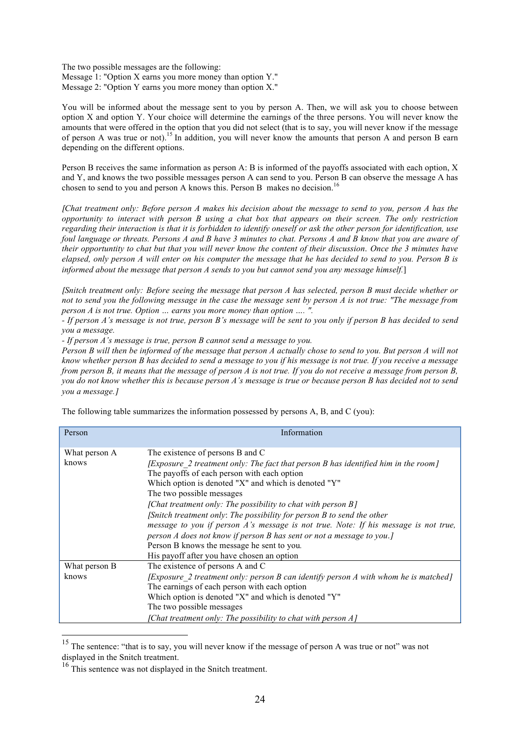The two possible messages are the following: Message 1: "Option X earns you more money than option Y." Message 2: "Option Y earns you more money than option X."

You will be informed about the message sent to you by person A. Then, we will ask you to choose between option X and option Y. Your choice will determine the earnings of the three persons. You will never know the amounts that were offered in the option that you did not select (that is to say, you will never know if the message of person A was true or not).<sup>15</sup> In addition, you will never know the amounts that person A and person B earn depending on the different options.

Person B receives the same information as person A: B is informed of the payoffs associated with each option, X and Y, and knows the two possible messages person A can send to you. Person B can observe the message A has chosen to send to you and person A knows this. Person B makes no decision. 16

[*Chat treatment only: Before person A makes his decision about the message to send to you, person A has the opportunity to interact with person B using a chat box that appears on their screen. The only restriction regarding their interaction is that it is forbidden to identify oneself or ask the other person for identification, use foul language or threats. Persons A and B have 3 minutes to chat. Persons A and B know that you are aware of their opportuntity to chat but that you will never know the content of their discussion*. *Once the 3 minutes have elapsed, only person A will enter on his computer the message that he has decided to send to you. Person B is informed about the message that person A sends to you but cannot send you any message himself.*]

[*Snitch treatment only: Before seeing the message that person A has selected, person B must decide whether or not to send you the following message in the case the message sent by person A is not true: "The message from person A is not true. Option … earns you more money than option …. ".* 

*- If person A's message is not true, person B's message will be sent to you only if person B has decided to send you a message.*

*- If person A's message is true, person B cannot send a message to you.* 

*Person B will then be informed of the message that person A actually chose to send to you. But person A will not know whether person B has decided to send a message to you if his message is not true. If you receive a message from person B, it means that the message of person A is not true. If you do not receive a message from person B, you do not know whether this is because person A's message is true or because person B has decided not to send you a message.*]

The following table summarizes the information possessed by persons A, B, and C (you):

| Person                 | Information                                                                                                                                                                                                                                                                                                                                                                                                                     |
|------------------------|---------------------------------------------------------------------------------------------------------------------------------------------------------------------------------------------------------------------------------------------------------------------------------------------------------------------------------------------------------------------------------------------------------------------------------|
| What person A<br>knows | The existence of persons B and C<br>[Exposure 2 treatment only: The fact that person B has identified him in the room]<br>The payoffs of each person with each option<br>Which option is denoted "X" and which is denoted "Y"                                                                                                                                                                                                   |
|                        | The two possible messages<br>[Chat treatment only: The possibility to chat with person B]<br>[Snitch treatment only: The possibility for person B to send the other<br>message to you if person A's message is not true. Note: If his message is not true,<br>person A does not know if person B has sent or not a message to you.]<br>Person B knows the message he sent to you.<br>His payoff after you have chosen an option |
| What person B<br>knows | The existence of persons A and C<br>$[Exposure 2 treatment only: person B can identify person A with whom he is matched]$<br>The earnings of each person with each option<br>Which option is denoted "X" and which is denoted "Y"<br>The two possible messages<br>[Chat treatment only: The possibility to chat with person A]                                                                                                  |

<sup>&</sup>lt;sup>15</sup> The sentence: "that is to say, you will never know if the message of person A was true or not" was not displayed in the Snitch treatment.

<sup>&</sup>lt;sup>16</sup> This sentence was not displayed in the Snitch treatment.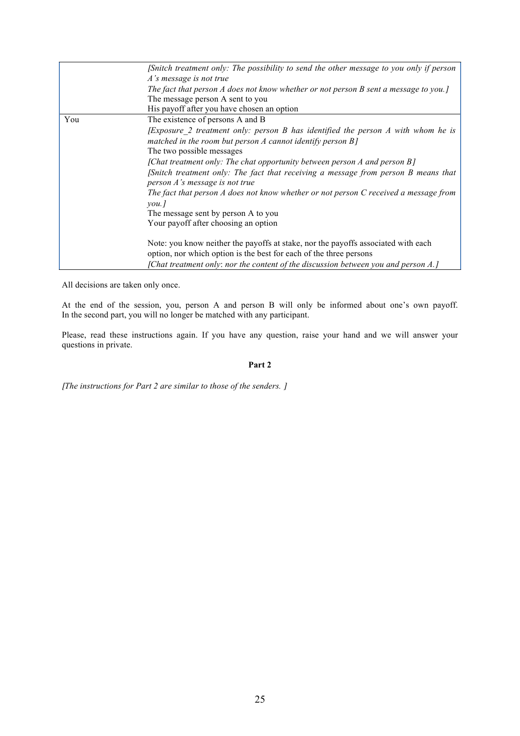|     | [Snitch treatment only: The possibility to send the other message to you only if person<br>A's message is not true<br>The fact that person A does not know whether or not person B sent a message to you.]<br>The message person A sent to you |
|-----|------------------------------------------------------------------------------------------------------------------------------------------------------------------------------------------------------------------------------------------------|
|     | His payoff after you have chosen an option                                                                                                                                                                                                     |
| You | The existence of persons A and B                                                                                                                                                                                                               |
|     | <i>[Exposure 2 treatment only: person B has identified the person A with whom he is</i><br>matched in the room but person $A$ cannot identify person $B$ ]<br>The two possible messages                                                        |
|     | [Chat treatment only: The chat opportunity between person A and person B]<br>[Snitch treatment only: The fact that receiving a message from person B means that<br>person A's message is not true                                              |
|     | The fact that person A does not know whether or not person C received a message from<br>$\mathit{you}.$                                                                                                                                        |
|     | The message sent by person A to you                                                                                                                                                                                                            |
|     | Your payoff after choosing an option                                                                                                                                                                                                           |
|     | Note: you know neither the payoffs at stake, nor the payoffs associated with each<br>option, nor which option is the best for each of the three persons                                                                                        |
|     | [Chat treatment only: nor the content of the discussion between you and person A.]                                                                                                                                                             |

All decisions are taken only once.

At the end of the session, you, person A and person B will only be informed about one's own payoff. In the second part, you will no longer be matched with any participant.

Please, read these instructions again. If you have any question, raise your hand and we will answer your questions in private.

#### **Part 2**

[*The instructions for Part 2 are similar to those of the senders.* ]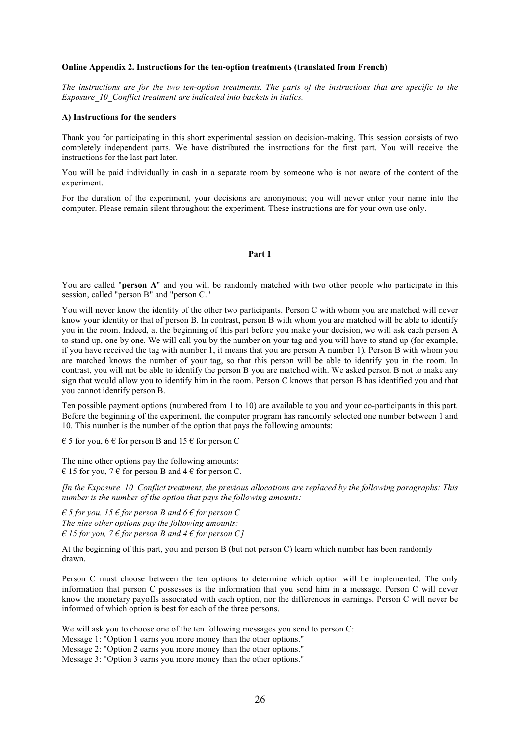#### **Online Appendix 2. Instructions for the ten-option treatments (translated from French)**

*The instructions are for the two ten-option treatments. The parts of the instructions that are specific to the Exposure\_10\_Conflict treatment are indicated into backets in italics.*

#### **A) Instructions for the senders**

Thank you for participating in this short experimental session on decision-making. This session consists of two completely independent parts. We have distributed the instructions for the first part. You will receive the instructions for the last part later.

You will be paid individually in cash in a separate room by someone who is not aware of the content of the experiment.

For the duration of the experiment, your decisions are anonymous; you will never enter your name into the computer. Please remain silent throughout the experiment. These instructions are for your own use only.

#### **Part 1**

You are called "**person A**" and you will be randomly matched with two other people who participate in this session, called "person B" and "person C."

You will never know the identity of the other two participants. Person C with whom you are matched will never know your identity or that of person B. In contrast, person B with whom you are matched will be able to identify you in the room. Indeed, at the beginning of this part before you make your decision, we will ask each person A to stand up, one by one. We will call you by the number on your tag and you will have to stand up (for example, if you have received the tag with number 1, it means that you are person A number 1). Person B with whom you are matched knows the number of your tag, so that this person will be able to identify you in the room. In contrast, you will not be able to identify the person B you are matched with. We asked person B not to make any sign that would allow you to identify him in the room. Person C knows that person B has identified you and that you cannot identify person B.

Ten possible payment options (numbered from 1 to 10) are available to you and your co-participants in this part. Before the beginning of the experiment, the computer program has randomly selected one number between 1 and 10. This number is the number of the option that pays the following amounts:

 $\epsilon$  5 for you, 6  $\epsilon$  for person B and 15  $\epsilon$  for person C

The nine other options pay the following amounts:  $\in$  15 for you, 7  $\in$  for person B and 4  $\in$  for person C.

[*In the Exposure\_10\_Conflict treatment, the previous allocations are replaced by the following paragraphs: This number is the number of the option that pays the following amounts:*

 $\epsilon$  *5 for you, 15*  $\epsilon$  *for person B and 6*  $\epsilon$  *for person C The nine other options pay the following amounts:*  $\epsilon$  15 for you,  $7 \epsilon$  *for person B and 4*  $\epsilon$  *for person C*1

At the beginning of this part, you and person B (but not person C) learn which number has been randomly drawn.

Person C must choose between the ten options to determine which option will be implemented. The only information that person C possesses is the information that you send him in a message. Person C will never know the monetary payoffs associated with each option, nor the differences in earnings. Person C will never be informed of which option is best for each of the three persons.

We will ask you to choose one of the ten following messages you send to person C:

Message 1: "Option 1 earns you more money than the other options."

Message 2: "Option 2 earns you more money than the other options."

Message 3: "Option 3 earns you more money than the other options."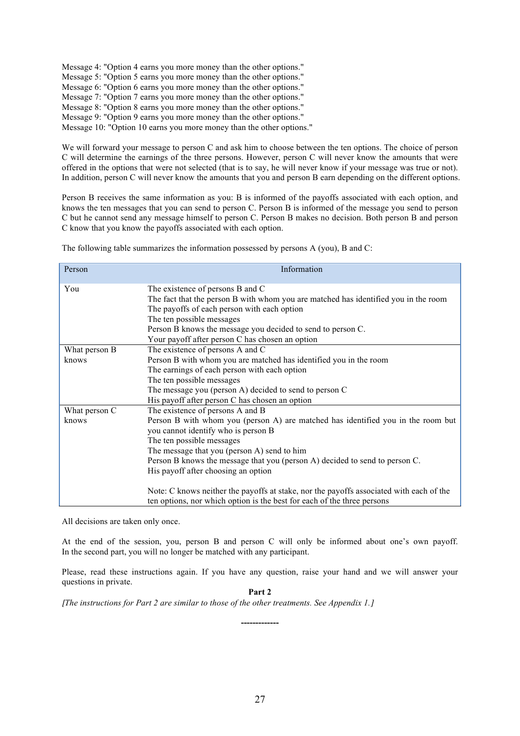Message 4: "Option 4 earns you more money than the other options." Message 5: "Option 5 earns you more money than the other options." Message 6: "Option 6 earns you more money than the other options." Message 7: "Option 7 earns you more money than the other options." Message 8: "Option 8 earns you more money than the other options." Message 9: "Option 9 earns you more money than the other options." Message 10: "Option 10 earns you more money than the other options."

We will forward your message to person C and ask him to choose between the ten options. The choice of person C will determine the earnings of the three persons. However, person C will never know the amounts that were offered in the options that were not selected (that is to say, he will never know if your message was true or not). In addition, person C will never know the amounts that you and person B earn depending on the different options.

Person B receives the same information as you: B is informed of the payoffs associated with each option, and knows the ten messages that you can send to person C. Person B is informed of the message you send to person C but he cannot send any message himself to person C. Person B makes no decision. Both person B and person C know that you know the payoffs associated with each option.

The following table summarizes the information possessed by persons A (you), B and C:

| Person                 | Information                                                                                                                                                                                                                                                                                                                                                                                                                                                                                                                         |
|------------------------|-------------------------------------------------------------------------------------------------------------------------------------------------------------------------------------------------------------------------------------------------------------------------------------------------------------------------------------------------------------------------------------------------------------------------------------------------------------------------------------------------------------------------------------|
| You                    | The existence of persons B and C<br>The fact that the person B with whom you are matched has identified you in the room<br>The payoffs of each person with each option<br>The ten possible messages<br>Person B knows the message you decided to send to person C.<br>Your payoff after person C has chosen an option                                                                                                                                                                                                               |
| What person B<br>knows | The existence of persons A and C<br>Person B with whom you are matched has identified you in the room<br>The earnings of each person with each option<br>The ten possible messages<br>The message you (person A) decided to send to person C<br>His payoff after person C has chosen an option                                                                                                                                                                                                                                      |
| What person C<br>knows | The existence of persons A and B<br>Person B with whom you (person A) are matched has identified you in the room but<br>you cannot identify who is person B<br>The ten possible messages<br>The message that you (person A) send to him<br>Person B knows the message that you (person A) decided to send to person C.<br>His payoff after choosing an option<br>Note: C knows neither the payoffs at stake, nor the payoffs associated with each of the<br>ten options, nor which option is the best for each of the three persons |

All decisions are taken only once.

At the end of the session, you, person B and person C will only be informed about one's own payoff. In the second part, you will no longer be matched with any participant.

Please, read these instructions again. If you have any question, raise your hand and we will answer your questions in private.

**Part 2**

**-------------**

[*The instructions for Part 2 are similar to those of the other treatments. See Appendix 1.*]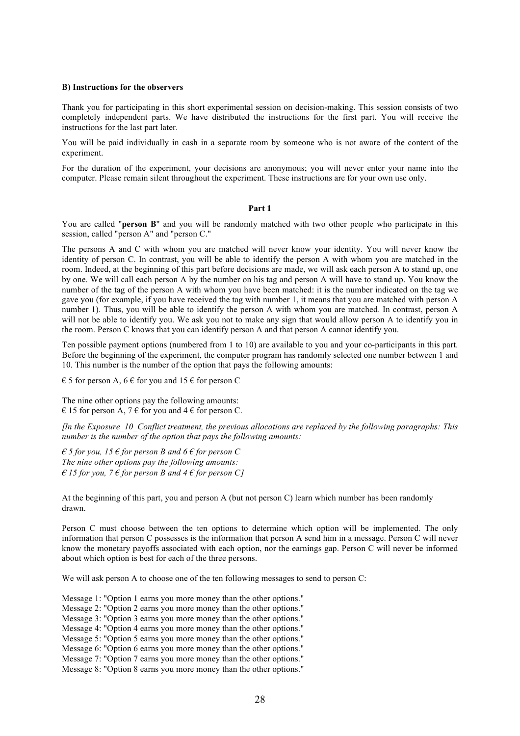#### **B) Instructions for the observers**

Thank you for participating in this short experimental session on decision-making. This session consists of two completely independent parts. We have distributed the instructions for the first part. You will receive the instructions for the last part later.

You will be paid individually in cash in a separate room by someone who is not aware of the content of the experiment.

For the duration of the experiment, your decisions are anonymous; you will never enter your name into the computer. Please remain silent throughout the experiment. These instructions are for your own use only.

#### **Part 1**

You are called "**person B**" and you will be randomly matched with two other people who participate in this session, called "person A" and "person C."

The persons A and C with whom you are matched will never know your identity. You will never know the identity of person C. In contrast, you will be able to identify the person A with whom you are matched in the room. Indeed, at the beginning of this part before decisions are made, we will ask each person A to stand up, one by one. We will call each person A by the number on his tag and person A will have to stand up. You know the number of the tag of the person A with whom you have been matched: it is the number indicated on the tag we gave you (for example, if you have received the tag with number 1, it means that you are matched with person A number 1). Thus, you will be able to identify the person A with whom you are matched. In contrast, person A will not be able to identify you. We ask you not to make any sign that would allow person A to identify you in the room. Person C knows that you can identify person A and that person A cannot identify you.

Ten possible payment options (numbered from 1 to 10) are available to you and your co-participants in this part. Before the beginning of the experiment, the computer program has randomly selected one number between 1 and 10. This number is the number of the option that pays the following amounts:

 $\epsilon$  5 for person A, 6  $\epsilon$  for you and 15  $\epsilon$  for person C

The nine other options pay the following amounts:  $\in$  15 for person A, 7  $\in$  for you and 4  $\in$  for person C.

[*In the Exposure\_10\_Conflict treatment, the previous allocations are replaced by the following paragraphs: This number is the number of the option that pays the following amounts:*

 $\epsilon$  *5 for you, 15*  $\epsilon$  *for person B and 6*  $\epsilon$  *for person C The nine other options pay the following amounts:*  $\epsilon$  15 for you, 7  $\epsilon$  for person B and 4  $\epsilon$  for person C]

At the beginning of this part, you and person A (but not person C) learn which number has been randomly drawn.

Person C must choose between the ten options to determine which option will be implemented. The only information that person C possesses is the information that person A send him in a message. Person C will never know the monetary payoffs associated with each option, nor the earnings gap. Person C will never be informed about which option is best for each of the three persons.

We will ask person A to choose one of the ten following messages to send to person C:

Message 1: "Option 1 earns you more money than the other options."

Message 2: "Option 2 earns you more money than the other options."

Message 3: "Option 3 earns you more money than the other options."

Message 4: "Option 4 earns you more money than the other options."

Message 5: "Option 5 earns you more money than the other options."

Message 6: "Option 6 earns you more money than the other options."

Message 7: "Option 7 earns you more money than the other options."

Message 8: "Option 8 earns you more money than the other options."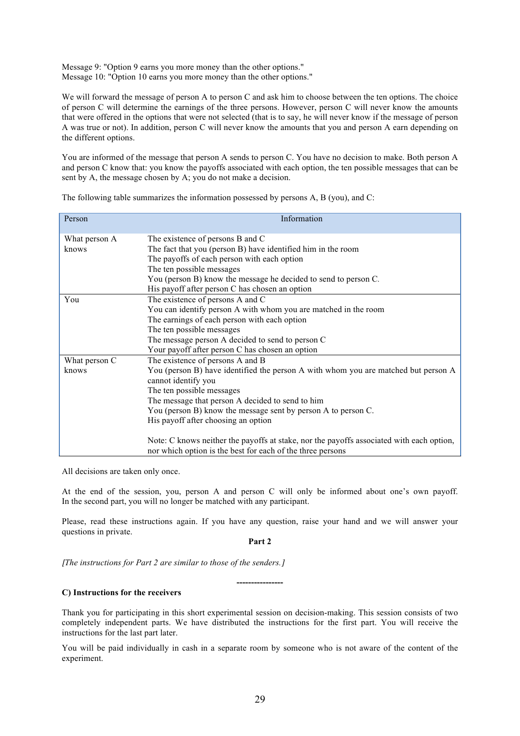Message 9: "Option 9 earns you more money than the other options." Message 10: "Option 10 earns you more money than the other options."

We will forward the message of person A to person C and ask him to choose between the ten options. The choice of person C will determine the earnings of the three persons. However, person C will never know the amounts that were offered in the options that were not selected (that is to say, he will never know if the message of person A was true or not). In addition, person C will never know the amounts that you and person A earn depending on the different options.

You are informed of the message that person A sends to person C. You have no decision to make. Both person A and person C know that: you know the payoffs associated with each option, the ten possible messages that can be sent by A, the message chosen by A; you do not make a decision.

| Person        | Information                                                                                                                                            |
|---------------|--------------------------------------------------------------------------------------------------------------------------------------------------------|
| What person A | The existence of persons B and C                                                                                                                       |
| knows         | The fact that you (person B) have identified him in the room                                                                                           |
|               | The payoffs of each person with each option                                                                                                            |
|               | The ten possible messages                                                                                                                              |
|               | You (person B) know the message he decided to send to person C.                                                                                        |
|               | His payoff after person C has chosen an option                                                                                                         |
| You           | The existence of persons A and C                                                                                                                       |
|               | You can identify person A with whom you are matched in the room                                                                                        |
|               | The earnings of each person with each option                                                                                                           |
|               | The ten possible messages                                                                                                                              |
|               | The message person A decided to send to person C                                                                                                       |
|               | Your payoff after person C has chosen an option                                                                                                        |
| What person C | The existence of persons A and B                                                                                                                       |
| knows         | You (person B) have identified the person A with whom you are matched but person A                                                                     |
|               | cannot identify you                                                                                                                                    |
|               | The ten possible messages                                                                                                                              |
|               | The message that person A decided to send to him                                                                                                       |
|               | You (person B) know the message sent by person A to person C.                                                                                          |
|               | His payoff after choosing an option                                                                                                                    |
|               | Note: C knows neither the payoffs at stake, nor the payoffs associated with each option,<br>nor which option is the best for each of the three persons |

The following table summarizes the information possessed by persons A, B (you), and C:

All decisions are taken only once.

At the end of the session, you, person A and person C will only be informed about one's own payoff. In the second part, you will no longer be matched with any participant.

Please, read these instructions again. If you have any question, raise your hand and we will answer your questions in private.

**Part 2**

**----------------**

[*The instructions for Part 2 are similar to those of the senders.*]

#### **C) Instructions for the receivers**

Thank you for participating in this short experimental session on decision-making. This session consists of two completely independent parts. We have distributed the instructions for the first part. You will receive the instructions for the last part later.

You will be paid individually in cash in a separate room by someone who is not aware of the content of the experiment.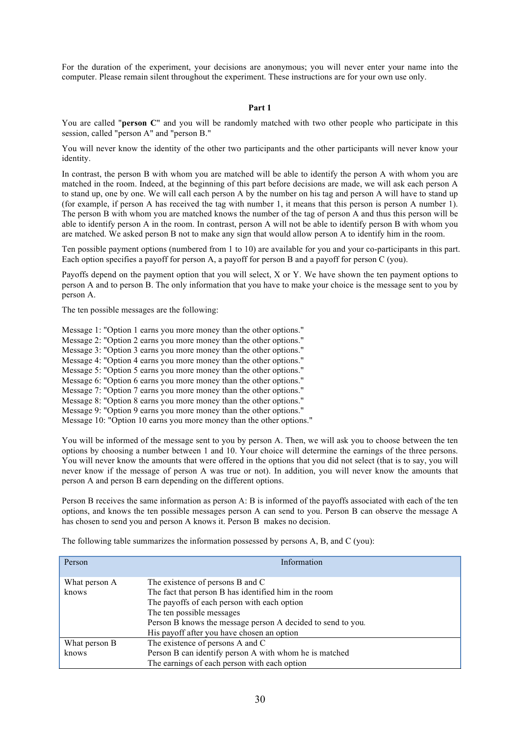For the duration of the experiment, your decisions are anonymous; you will never enter your name into the computer. Please remain silent throughout the experiment. These instructions are for your own use only.

#### **Part 1**

You are called "**person C**" and you will be randomly matched with two other people who participate in this session, called "person A" and "person B."

You will never know the identity of the other two participants and the other participants will never know your identity.

In contrast, the person B with whom you are matched will be able to identify the person A with whom you are matched in the room. Indeed, at the beginning of this part before decisions are made, we will ask each person A to stand up, one by one. We will call each person A by the number on his tag and person A will have to stand up (for example, if person A has received the tag with number 1, it means that this person is person A number 1). The person B with whom you are matched knows the number of the tag of person A and thus this person will be able to identify person A in the room. In contrast, person A will not be able to identify person B with whom you are matched. We asked person B not to make any sign that would allow person A to identify him in the room.

Ten possible payment options (numbered from 1 to 10) are available for you and your co-participants in this part. Each option specifies a payoff for person A, a payoff for person B and a payoff for person C (you).

Payoffs depend on the payment option that you will select, X or Y. We have shown the ten payment options to person A and to person B. The only information that you have to make your choice is the message sent to you by person A.

The ten possible messages are the following:

Message 1: "Option 1 earns you more money than the other options."

Message 2: "Option 2 earns you more money than the other options."

Message 3: "Option 3 earns you more money than the other options."

Message 4: "Option 4 earns you more money than the other options."

Message 5: "Option 5 earns you more money than the other options."

Message 6: "Option 6 earns you more money than the other options."

Message 7: "Option 7 earns you more money than the other options."

Message 8: "Option 8 earns you more money than the other options."

Message 9: "Option 9 earns you more money than the other options."

Message 10: "Option 10 earns you more money than the other options."

You will be informed of the message sent to you by person A. Then, we will ask you to choose between the ten options by choosing a number between 1 and 10. Your choice will determine the earnings of the three persons. You will never know the amounts that were offered in the options that you did not select (that is to say, you will never know if the message of person A was true or not). In addition, you will never know the amounts that person A and person B earn depending on the different options.

Person B receives the same information as person A: B is informed of the payoffs associated with each of the ten options, and knows the ten possible messages person A can send to you. Person B can observe the message A has chosen to send you and person A knows it. Person B makes no decision.

| Person                 | Information                                                                                                                                                                                                                                                                        |  |  |  |
|------------------------|------------------------------------------------------------------------------------------------------------------------------------------------------------------------------------------------------------------------------------------------------------------------------------|--|--|--|
| What person A<br>knows | The existence of persons B and C<br>The fact that person B has identified him in the room<br>The payoffs of each person with each option<br>The ten possible messages<br>Person B knows the message person A decided to send to you.<br>His payoff after you have chosen an option |  |  |  |
| What person B          | The existence of persons A and C                                                                                                                                                                                                                                                   |  |  |  |
| knows                  | Person B can identify person A with whom he is matched                                                                                                                                                                                                                             |  |  |  |
|                        | The earnings of each person with each option                                                                                                                                                                                                                                       |  |  |  |

The following table summarizes the information possessed by persons A, B, and C (you):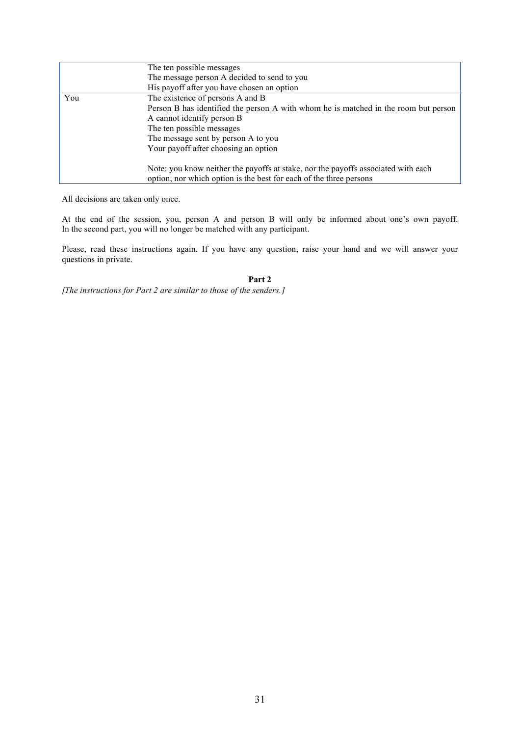|     | The ten possible messages                                                                                                                               |
|-----|---------------------------------------------------------------------------------------------------------------------------------------------------------|
|     | The message person A decided to send to you                                                                                                             |
|     | His payoff after you have chosen an option                                                                                                              |
| You | The existence of persons A and B                                                                                                                        |
|     | Person B has identified the person A with whom he is matched in the room but person                                                                     |
|     | A cannot identify person B                                                                                                                              |
|     | The ten possible messages                                                                                                                               |
|     | The message sent by person A to you                                                                                                                     |
|     | Your payoff after choosing an option                                                                                                                    |
|     | Note: you know neither the payoffs at stake, nor the payoffs associated with each<br>option, nor which option is the best for each of the three persons |

All decisions are taken only once.

At the end of the session, you, person A and person B will only be informed about one's own payoff. In the second part, you will no longer be matched with any participant.

Please, read these instructions again. If you have any question, raise your hand and we will answer your questions in private.

**Part 2**

[*The instructions for Part 2 are similar to those of the senders.*]